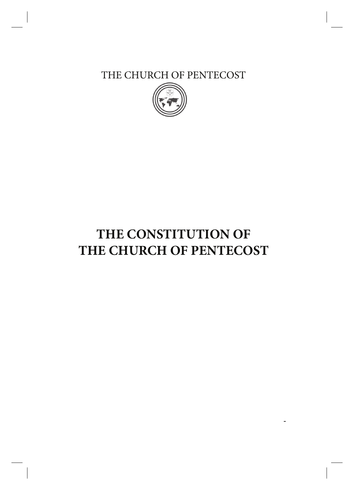THE CHURCH OF PENTECOST



# **THE CONSTITUTION OF THE CHURCH OF PENTECOST**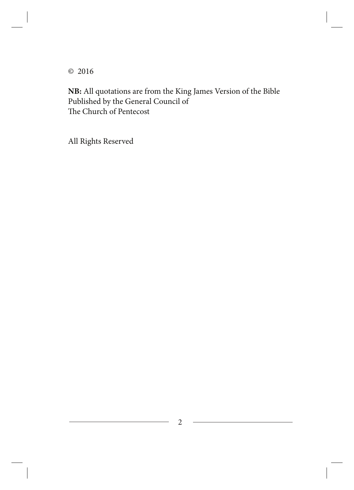© 2016

**NB:** All quotations are from the King James Version of the Bible Published by the General Council of The Church of Pentecost

All Rights Reserved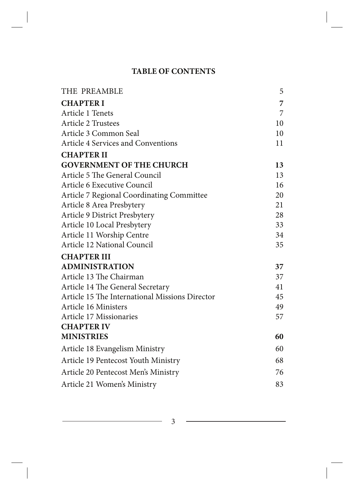### **TABLE OF CONTENTS**

| THE PREAMBLE                                   | 5  |
|------------------------------------------------|----|
| <b>CHAPTER I</b>                               | 7  |
| Article 1 Tenets                               | 7  |
| <b>Article 2 Trustees</b>                      | 10 |
| Article 3 Common Seal                          | 10 |
| <b>Article 4 Services and Conventions</b>      | 11 |
| <b>CHAPTER II</b>                              |    |
| <b>GOVERNMENT OF THE CHURCH</b>                | 13 |
| Article 5 The General Council                  | 13 |
| Article 6 Executive Council                    | 16 |
| Article 7 Regional Coordinating Committee      | 20 |
| Article 8 Area Presbytery                      | 21 |
| Article 9 District Presbytery                  | 28 |
| Article 10 Local Presbytery                    | 33 |
| Article 11 Worship Centre                      | 34 |
| Article 12 National Council                    | 35 |
| <b>CHAPTER III</b>                             |    |
| <b>ADMINISTRATION</b>                          | 37 |
| Article 13 The Chairman                        | 37 |
| Article 14 The General Secretary               | 41 |
| Article 15 The International Missions Director | 45 |
| Article 16 Ministers                           | 49 |
| Article 17 Missionaries                        | 57 |
| <b>CHAPTER IV</b>                              |    |
| <b>MINISTRIES</b>                              | 60 |
| Article 18 Evangelism Ministry                 | 60 |
| Article 19 Pentecost Youth Ministry            | 68 |
| Article 20 Pentecost Men's Ministry            | 76 |
| Article 21 Women's Ministry                    | 83 |

3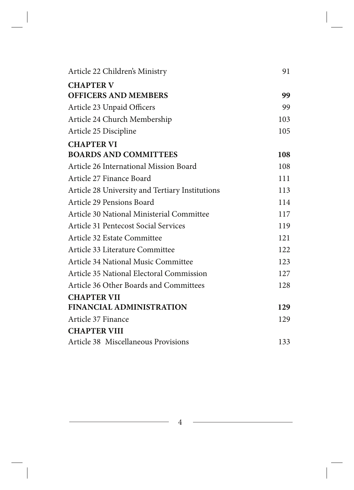| Article 22 Children's Ministry                  | 91  |
|-------------------------------------------------|-----|
| <b>CHAPTER V</b>                                |     |
| <b>OFFICERS AND MEMBERS</b>                     | 99  |
| Article 23 Unpaid Officers                      | 99  |
| Article 24 Church Membership                    | 103 |
| Article 25 Discipline                           | 105 |
| <b>CHAPTER VI</b>                               |     |
| <b>BOARDS AND COMMITTEES</b>                    | 108 |
| Article 26 International Mission Board          | 108 |
| Article 27 Finance Board                        | 111 |
| Article 28 University and Tertiary Institutions | 113 |
| Article 29 Pensions Board                       | 114 |
| Article 30 National Ministerial Committee       | 117 |
| Article 31 Pentecost Social Services            | 119 |
| Article 32 Estate Committee                     | 121 |
| Article 33 Literature Committee                 | 122 |
| Article 34 National Music Committee             | 123 |
| Article 35 National Electoral Commission        | 127 |
| Article 36 Other Boards and Committees          | 128 |
| <b>CHAPTER VII</b>                              |     |
| <b>FINANCIAL ADMINISTRATION</b>                 | 129 |
| Article 37 Finance                              | 129 |
| <b>CHAPTER VIII</b>                             |     |
| Article 38 Miscellaneous Provisions             | 133 |

4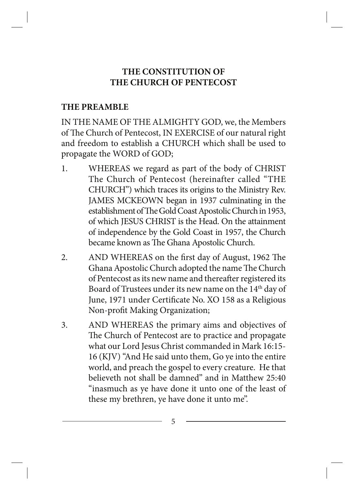### **THE CONSTITUTION OF THE CHURCH OF PENTECOST**

#### **THE PREAMBLE**

IN THE NAME OF THE ALMIGHTY GOD, we, the Members of The Church of Pentecost, IN EXERCISE of our natural right and freedom to establish a CHURCH which shall be used to propagate the WORD of GOD;

- 1. WHEREAS we regard as part of the body of CHRIST The Church of Pentecost (hereinafter called "THE CHURCH") which traces its origins to the Ministry Rev. JAMES MCKEOWN began in 1937 culminating in the establishment of The Gold Coast Apostolic Church in 1953, of which JESUS CHRIST is the Head. On the attainment of independence by the Gold Coast in 1957, the Church became known as The Ghana Apostolic Church.
- 2. AND WHEREAS on the first day of August, 1962 The Ghana Apostolic Church adopted the name The Church of Pentecost as its new name and thereafter registered its Board of Trustees under its new name on the 14<sup>th</sup> day of June, 1971 under Certificate No. XO 158 as a Religious Non-profit Making Organization;
- 3. AND WHEREAS the primary aims and objectives of The Church of Pentecost are to practice and propagate what our Lord Jesus Christ commanded in Mark 16:15- 16 (KJV) "And He said unto them, Go ye into the entire world, and preach the gospel to every creature. He that believeth not shall be damned" and in Matthew 25:40 "inasmuch as ye have done it unto one of the least of these my brethren, ye have done it unto me".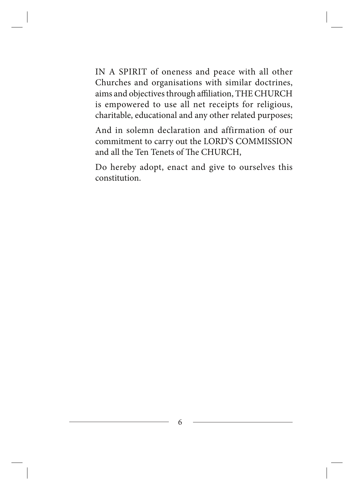IN A SPIRIT of oneness and peace with all other Churches and organisations with similar doctrines, aims and objectives through affiliation, THE CHURCH is empowered to use all net receipts for religious, charitable, educational and any other related purposes;

And in solemn declaration and affirmation of our commitment to carry out the LORD'S COMMISSION and all the Ten Tenets of The CHURCH,

Do hereby adopt, enact and give to ourselves this constitution.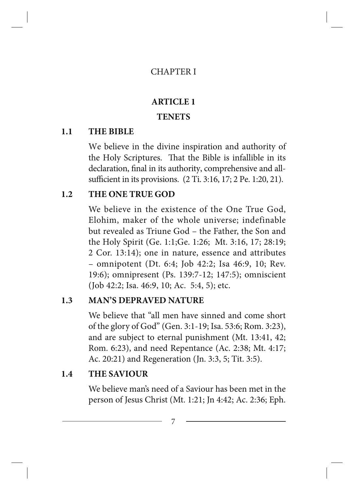#### CHAPTER I

#### **ARTICLE 1**

#### **TENETS**

#### **1.1 THE BIBLE**

We believe in the divine inspiration and authority of the Holy Scriptures. That the Bible is infallible in its declaration, final in its authority, comprehensive and allsufficient in its provisions. (2 Ti. 3:16, 17; 2 Pe. 1:20, 21).

#### **1.2 THE ONE TRUE GOD**

We believe in the existence of the One True God, Elohim, maker of the whole universe; indefinable but revealed as Triune God – the Father, the Son and the Holy Spirit (Ge. 1:1;Ge. 1:26; Mt. 3:16, 17; 28:19; 2 Cor. 13:14); one in nature, essence and attributes – omnipotent (Dt. 6:4; Job 42:2; Isa 46:9, 10; Rev. 19:6); omnipresent (Ps. 139:7-12; 147:5); omniscient (Job 42:2; Isa. 46:9, 10; Ac. 5:4, 5); etc.

### **1.3 MAN'S DEPRAVED NATURE**

We believe that "all men have sinned and come short of the glory of God" (Gen. 3:1-19; Isa. 53:6; Rom. 3:23), and are subject to eternal punishment (Mt. 13:41, 42; Rom. 6:23), and need Repentance (Ac. 2:38; Mt. 4:17; Ac. 20:21) and Regeneration (Jn. 3:3, 5; Tit. 3:5).

#### **1.4 THE SAVIOUR**

We believe man's need of a Saviour has been met in the person of Jesus Christ (Mt. 1:21; Jn 4:42; Ac. 2:36; Eph.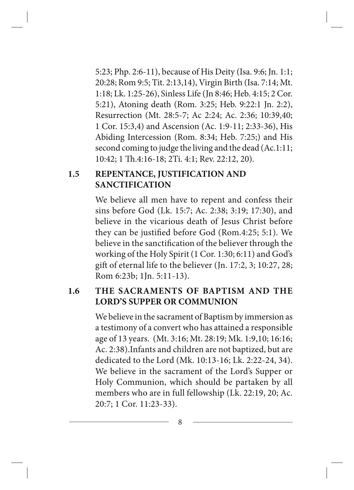5:23; Php. 2:6-11), because of His Deity (Isa. 9:6; Jn. 1:1; 20:28; Rom 9:5; Tit. 2:13,14), Virgin Birth (Isa. 7:14; Mt. 1:18; Lk. 1:25-26), Sinless Life (Jn 8:46; Heb. 4:15; 2 Cor. 5:21), Atoning death (Rom. 3:25; Heb. 9:22:1 Jn. 2:2), Resurrection (Mt. 28:5-7; Ac 2:24; Ac. 2:36; 10:39,40; 1 Cor. 15:3,4) and Ascension (Ac. 1:9-11; 2:33-36), His Abiding Intercession (Rom. 8:34; Heb. 7:25;) and His second coming to judge the living and the dead (Ac.1:11; 10:42; 1 Th.4:16-18; 2Ti. 4:1; Rev. 22:12, 20).

### **1.5 REPENTANCE, JUSTIFICATION AND SANCTIFICATION**

We believe all men have to repent and confess their sins before God (Lk. 15:7; Ac. 2:38; 3:19; 17:30), and believe in the vicarious death of Jesus Christ before they can be justified before God (Rom.4:25; 5:1). We believe in the sanctification of the believer through the working of the Holy Spirit (1 Cor. 1:30; 6:11) and God's gift of eternal life to the believer (Jn. 17:2, 3; 10:27, 28; Rom 6:23b; 1Jn. 5:11-13).

### **1.6 THE SACRAMENTS OF BAPTISM AND THE LORD'S SUPPER OR COMMUNION**

We believe in the sacrament of Baptism by immersion as a testimony of a convert who has attained a responsible age of 13 years. (Mt. 3:16; Mt. 28:19; Mk. 1:9,10; 16:16; Ac. 2:38).Infants and children are not baptized, but are dedicated to the Lord (Mk. 10:13-16; Lk. 2:22-24, 34). We believe in the sacrament of the Lord's Supper or Holy Communion, which should be partaken by all members who are in full fellowship (Lk. 22:19, 20; Ac. 20:7; 1 Cor. 11:23-33).

8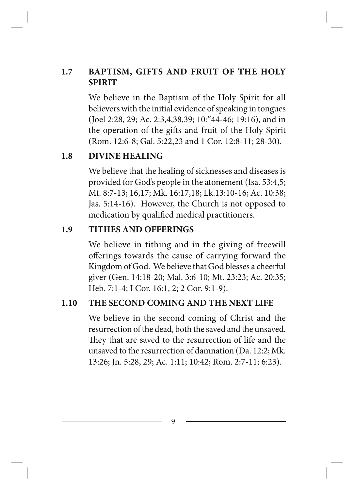### **1.7 BAPTISM, GIFTS AND FRUIT OF THE HOLY SPIRIT**

We believe in the Baptism of the Holy Spirit for all believers with the initial evidence of speaking in tongues (Joel 2:28, 29; Ac. 2:3,4,38,39; 10:"44-46; 19:16), and in the operation of the gifts and fruit of the Holy Spirit (Rom. 12:6-8; Gal. 5:22,23 and 1 Cor. 12:8-11; 28-30).

### **1.8 DIVINE HEALING**

We believe that the healing of sicknesses and diseases is provided for God's people in the atonement (Isa. 53:4,5; Mt. 8:7-13; 16,17; Mk. 16:17,18; Lk.13:10-16; Ac. 10:38; Jas. 5:14-16). However, the Church is not opposed to medication by qualified medical practitioners.

### **1.9 TITHES AND OFFERINGS**

We believe in tithing and in the giving of freewill offerings towards the cause of carrying forward the Kingdom of God. We believe that God blesses a cheerful giver (Gen. 14:18-20; Mal. 3:6-10; Mt. 23:23; Ac. 20:35; Heb. 7:1-4; I Cor. 16:1, 2; 2 Cor. 9:1-9).

### **1.10 THE SECOND COMING AND THE NEXT LIFE**

We believe in the second coming of Christ and the resurrection of the dead, both the saved and the unsaved. They that are saved to the resurrection of life and the unsaved to the resurrection of damnation (Da. 12:2; Mk. 13:26; Jn. 5:28, 29; Ac. 1:11; 10:42; Rom. 2:7-11; 6:23).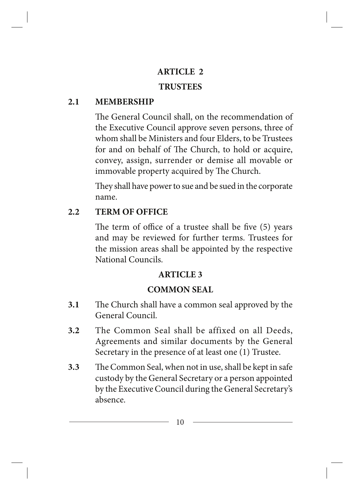#### **ARTICLE 2**

#### **TRUSTEES**

#### **2.1 MEMBERSHIP**

The General Council shall, on the recommendation of the Executive Council approve seven persons, three of whom shall be Ministers and four Elders, to be Trustees for and on behalf of The Church, to hold or acquire, convey, assign, surrender or demise all movable or immovable property acquired by The Church.

They shall have power to sue and be sued in the corporate name.

### **2.2 TERM OF OFFICE**

The term of office of a trustee shall be five (5) years and may be reviewed for further terms. Trustees for the mission areas shall be appointed by the respective National Councils.

### **ARTICLE 3**

### **COMMON SEAL**

- **3.1** The Church shall have a common seal approved by the General Council.
- **3.2** The Common Seal shall be affixed on all Deeds, Agreements and similar documents by the General Secretary in the presence of at least one (1) Trustee.
- **3.3** The Common Seal, when not in use, shall be kept in safe custody by the General Secretary or a person appointed by the Executive Council during the General Secretary's absence.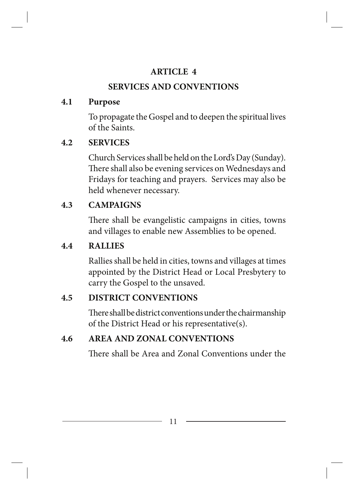### **ARTICLE 4**

# **SERVICES AND CONVENTIONS**

### **4.1 Purpose**

To propagate the Gospel and to deepen the spiritual lives of the Saints.

# **4.2 SERVICES**

Church Services shall be held on the Lord's Day (Sunday). There shall also be evening services on Wednesdays and Fridays for teaching and prayers. Services may also be held whenever necessary.

# **4.3 CAMPAIGNS**

There shall be evangelistic campaigns in cities, towns and villages to enable new Assemblies to be opened.

# **4.4 RALLIES**

Rallies shall be held in cities, towns and villages at times appointed by the District Head or Local Presbytery to carry the Gospel to the unsaved.

# **4.5 DISTRICT CONVENTIONS**

There shall be district conventions under the chairmanship of the District Head or his representative(s).

# **4.6 AREA AND ZONAL CONVENTIONS**

There shall be Area and Zonal Conventions under the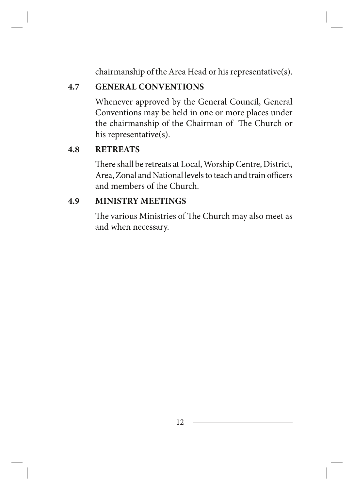chairmanship of the Area Head or his representative(s).

# **4.7 GENERAL CONVENTIONS**

Whenever approved by the General Council, General Conventions may be held in one or more places under the chairmanship of the Chairman of The Church or his representative(s).

# **4.8 RETREATS**

There shall be retreats at Local, Worship Centre, District, Area, Zonal and National levels to teach and train officers and members of the Church.

### **4.9 MINISTRY MEETINGS**

The various Ministries of The Church may also meet as and when necessary.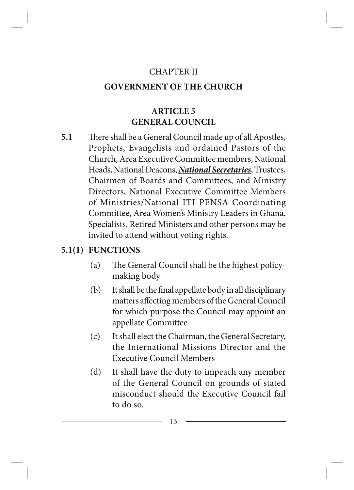#### CHAPTER II

### **GOVERNMENT OF THE CHURCH**

# **ARTICLE 5 GENERAL COUNCIL**

**5.1** There shall be a General Council made up of all Apostles, Prophets, Evangelists and ordained Pastors of the Church, Area Executive Committee members, National Heads, National Deacons, *National Secretaries*, Trustees, Chairmen of Boards and Committees, and Ministry Directors, National Executive Committee Members of Ministries/National ITI PENSA Coordinating Committee, Area Women's Ministry Leaders in Ghana. Specialists, Retired Ministers and other persons may be invited to attend without voting rights.

### **5.1(1) FUNCTIONS**

- (a) The General Council shall be the highest policymaking body
- (b) It shall be the final appellate body in all disciplinary matters affecting members of the General Council for which purpose the Council may appoint an appellate Committee
- (c) It shall elect the Chairman, the General Secretary, the International Missions Director and the Executive Council Members
- (d) It shall have the duty to impeach any member of the General Council on grounds of stated misconduct should the Executive Council fail to do so.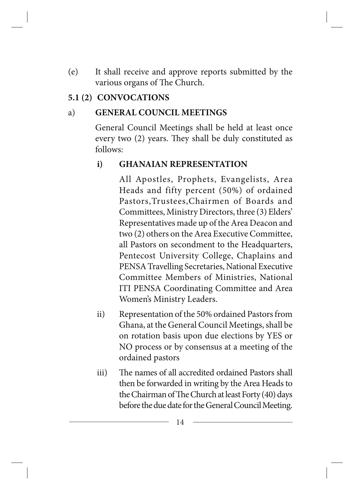(e) It shall receive and approve reports submitted by the various organs of The Church.

### **5.1 (2) CONVOCATIONS**

### a) **GENERAL COUNCIL MEETINGS**

General Council Meetings shall be held at least once every two (2) years. They shall be duly constituted as follows:

### **i) GHANAIAN REPRESENTATION**

All Apostles, Prophets, Evangelists, Area Heads and fifty percent (50%) of ordained Pastors,Trustees,Chairmen of Boards and Committees, Ministry Directors, three (3) Elders' Representatives made up of the Area Deacon and two (2) others on the Area Executive Committee, all Pastors on secondment to the Headquarters, Pentecost University College, Chaplains and PENSA Travelling Secretaries, National Executive Committee Members of Ministries, National ITI PENSA Coordinating Committee and Area Women's Ministry Leaders.

- ii) Representation of the 50% ordained Pastors from Ghana, at the General Council Meetings, shall be on rotation basis upon due elections by YES or NO process or by consensus at a meeting of the ordained pastors
- iii) The names of all accredited ordained Pastors shall then be forwarded in writing by the Area Heads to the Chairman of The Church at least Forty (40) days before the due date for the General Council Meeting.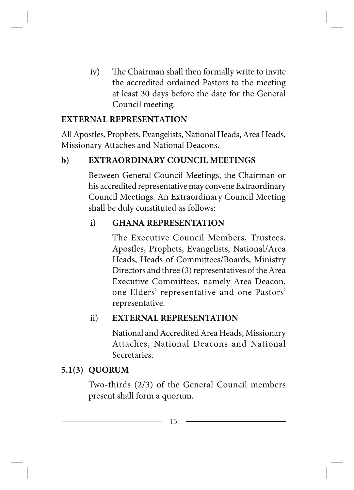iv) The Chairman shall then formally write to invite the accredited ordained Pastors to the meeting at least 30 days before the date for the General Council meeting.

### **EXTERNAL REPRESENTATION**

All Apostles, Prophets, Evangelists, National Heads, Area Heads, Missionary Attaches and National Deacons.

### **b) EXTRAORDINARY COUNCIL MEETINGS**

Between General Council Meetings, the Chairman or his accredited representative may convene Extraordinary Council Meetings. An Extraordinary Council Meeting shall be duly constituted as follows:

### **i) GHANA REPRESENTATION**

The Executive Council Members, Trustees, Apostles, Prophets, Evangelists, National/Area Heads, Heads of Committees/Boards, Ministry Directors and three (3) representatives of the Area Executive Committees, namely Area Deacon, one Elders' representative and one Pastors' representative.

### ii) **EXTERNAL REPRESENTATION**

National and Accredited Area Heads, Missionary Attaches, National Deacons and National Secretaries.

### **5.1(3) QUORUM**

Two-thirds (2/3) of the General Council members present shall form a quorum.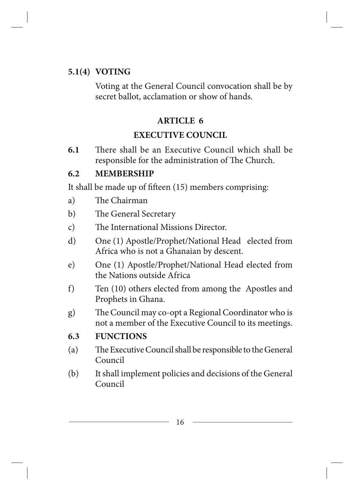### **5.1(4) VOTING**

Voting at the General Council convocation shall be by secret ballot, acclamation or show of hands.

#### **ARTICLE 6**

#### **EXECUTIVE COUNCIL**

**6.1** There shall be an Executive Council which shall be responsible for the administration of The Church.

#### **6.2 MEMBERSHIP**

It shall be made up of fifteen (15) members comprising:

- a) The Chairman
- b) The General Secretary
- c) The International Missions Director.
- d) One (1) Apostle/Prophet/National Head elected from Africa who is not a Ghanaian by descent.
- e) One (1) Apostle/Prophet/National Head elected from the Nations outside Africa
- f) Ten (10) others elected from among the Apostles and Prophets in Ghana.
- g) The Council may co-opt a Regional Coordinator who is not a member of the Executive Council to its meetings.

#### **6.3 FUNCTIONS**

- (a) The Executive Council shall be responsible to the General Council
- (b) It shall implement policies and decisions of the General Council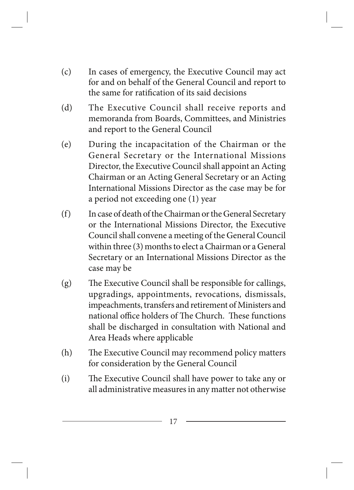- (c) In cases of emergency, the Executive Council may act for and on behalf of the General Council and report to the same for ratification of its said decisions
- (d) The Executive Council shall receive reports and memoranda from Boards, Committees, and Ministries and report to the General Council
- (e) During the incapacitation of the Chairman or the General Secretary or the International Missions Director, the Executive Council shall appoint an Acting Chairman or an Acting General Secretary or an Acting International Missions Director as the case may be for a period not exceeding one (1) year
- (f) In case of death of the Chairman or the General Secretary or the International Missions Director, the Executive Council shall convene a meeting of the General Council within three (3) months to elect a Chairman or a General Secretary or an International Missions Director as the case may be
- (g) The Executive Council shall be responsible for callings, upgradings, appointments, revocations, dismissals, impeachments, transfers and retirement of Ministers and national office holders of The Church. These functions shall be discharged in consultation with National and Area Heads where applicable
- (h) The Executive Council may recommend policy matters for consideration by the General Council
- (i) The Executive Council shall have power to take any or all administrative measures in any matter not otherwise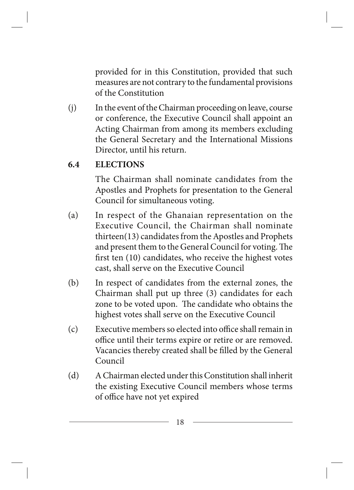provided for in this Constitution, provided that such measures are not contrary to the fundamental provisions of the Constitution

(j) In the event of the Chairman proceeding on leave, course or conference, the Executive Council shall appoint an Acting Chairman from among its members excluding the General Secretary and the International Missions Director, until his return.

### **6.4 ELECTIONS**

The Chairman shall nominate candidates from the Apostles and Prophets for presentation to the General Council for simultaneous voting.

- (a) In respect of the Ghanaian representation on the Executive Council, the Chairman shall nominate thirteen(13) candidates from the Apostles and Prophets and present them to the General Council for voting. The first ten (10) candidates, who receive the highest votes cast, shall serve on the Executive Council
- (b) In respect of candidates from the external zones, the Chairman shall put up three (3) candidates for each zone to be voted upon. The candidate who obtains the highest votes shall serve on the Executive Council
- (c) Executive members so elected into office shall remain in office until their terms expire or retire or are removed. Vacancies thereby created shall be filled by the General Council
- (d) A Chairman elected under this Constitution shall inherit the existing Executive Council members whose terms of office have not yet expired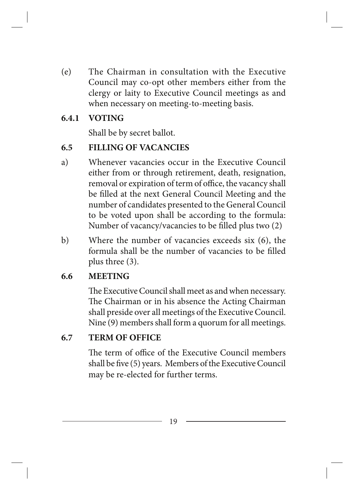(e) The Chairman in consultation with the Executive Council may co-opt other members either from the clergy or laity to Executive Council meetings as and when necessary on meeting-to-meeting basis.

#### **6.4.1 VOTING**

Shall be by secret ballot.

### **6.5 FILLING OF VACANCIES**

- a) Whenever vacancies occur in the Executive Council either from or through retirement, death, resignation, removal or expiration of term of office, the vacancy shall be filled at the next General Council Meeting and the number of candidates presented to the General Council to be voted upon shall be according to the formula: Number of vacancy/vacancies to be filled plus two (2)
- b) Where the number of vacancies exceeds six (6), the formula shall be the number of vacancies to be filled plus three (3).

### **6.6 MEETING**

The Executive Council shall meet as and when necessary. The Chairman or in his absence the Acting Chairman shall preside over all meetings of the Executive Council. Nine (9) members shall form a quorum for all meetings.

### **6.7 TERM OF OFFICE**

The term of office of the Executive Council members shall be five (5) years. Members of the Executive Council may be re-elected for further terms.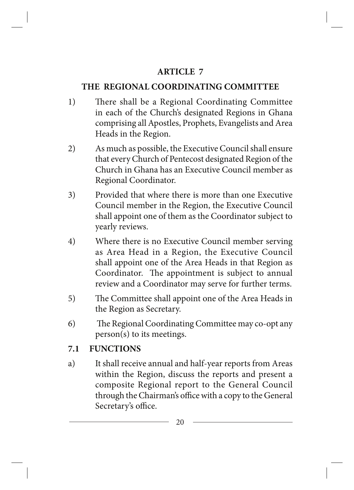### **ARTICLE 7**

### **THE REGIONAL COORDINATING COMMITTEE**

- 1) There shall be a Regional Coordinating Committee in each of the Church's designated Regions in Ghana comprising all Apostles, Prophets, Evangelists and Area Heads in the Region.
- 2) As much as possible, the Executive Council shall ensure that every Church of Pentecost designated Region of the Church in Ghana has an Executive Council member as Regional Coordinator.
- 3) Provided that where there is more than one Executive Council member in the Region, the Executive Council shall appoint one of them as the Coordinator subject to yearly reviews.
- 4) Where there is no Executive Council member serving as Area Head in a Region, the Executive Council shall appoint one of the Area Heads in that Region as Coordinator. The appointment is subject to annual review and a Coordinator may serve for further terms.
- 5) The Committee shall appoint one of the Area Heads in the Region as Secretary.
- 6) The Regional Coordinating Committee may co-opt any person(s) to its meetings.

### **7.1 FUNCTIONS**

a) It shall receive annual and half-year reports from Areas within the Region, discuss the reports and present a composite Regional report to the General Council through the Chairman's office with a copy to the General Secretary's office.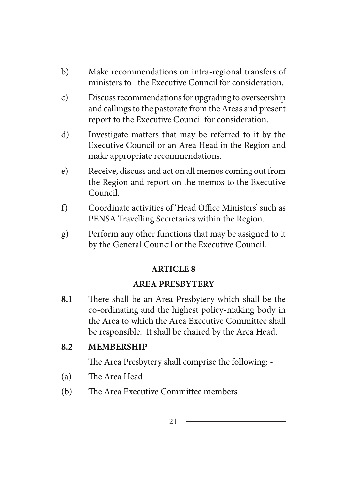- b) Make recommendations on intra-regional transfers of ministers to the Executive Council for consideration.
- c) Discuss recommendations for upgrading to overseership and callings to the pastorate from the Areas and present report to the Executive Council for consideration.
- d) Investigate matters that may be referred to it by the Executive Council or an Area Head in the Region and make appropriate recommendations.
- e) Receive, discuss and act on all memos coming out from the Region and report on the memos to the Executive Council.
- f) Coordinate activities of 'Head Office Ministers' such as PENSA Travelling Secretaries within the Region.
- g) Perform any other functions that may be assigned to it by the General Council or the Executive Council.

### **ARTICLE 8**

### **AREA PRESBYTERY**

**8.1** There shall be an Area Presbytery which shall be the co-ordinating and the highest policy-making body in the Area to which the Area Executive Committee shall be responsible. It shall be chaired by the Area Head.

### **8.2 MEMBERSHIP**

The Area Presbytery shall comprise the following: -

- (a) The Area Head
- (b) The Area Executive Committee members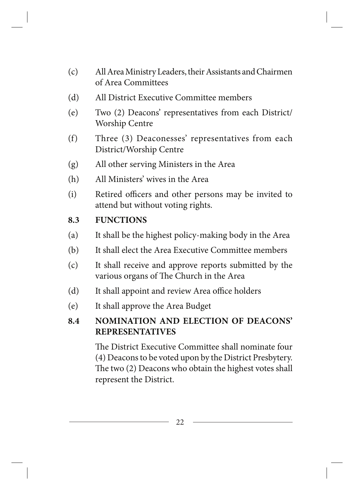- (c) All Area Ministry Leaders, their Assistants and Chairmen of Area Committees
- (d) All District Executive Committee members
- (e) Two (2) Deacons' representatives from each District/ Worship Centre
- (f) Three (3) Deaconesses' representatives from each District/Worship Centre
- (g) All other serving Ministers in the Area
- (h) All Ministers' wives in the Area
- (i) Retired officers and other persons may be invited to attend but without voting rights.

### **8.3 FUNCTIONS**

- (a) It shall be the highest policy-making body in the Area
- (b) It shall elect the Area Executive Committee members
- (c) It shall receive and approve reports submitted by the various organs of The Church in the Area
- (d) It shall appoint and review Area office holders
- (e) It shall approve the Area Budget

# **8.4 NOMINATION AND ELECTION OF DEACONS' REPRESENTATIVES**

The District Executive Committee shall nominate four (4) Deacons to be voted upon by the District Presbytery. The two (2) Deacons who obtain the highest votes shall represent the District.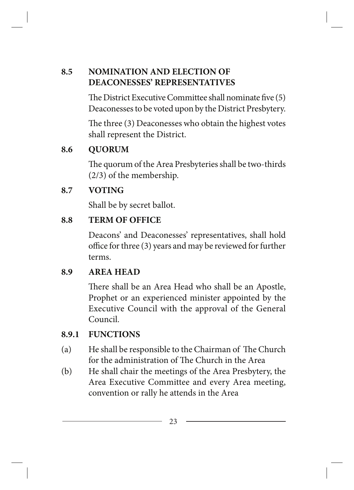# **8.5 NOMINATION AND ELECTION OF DEACONESSES' REPRESENTATIVES**

The District Executive Committee shall nominate five (5) Deaconesses to be voted upon by the District Presbytery.

The three (3) Deaconesses who obtain the highest votes shall represent the District.

# **8.6 QUORUM**

The quorum of the Area Presbyteries shall be two-thirds (2/3) of the membership.

# **8.7 VOTING**

Shall be by secret ballot.

### **8.8 TERM OF OFFICE**

Deacons' and Deaconesses' representatives, shall hold office for three (3) years and may be reviewed for further terms.

### **8.9 AREA HEAD**

There shall be an Area Head who shall be an Apostle, Prophet or an experienced minister appointed by the Executive Council with the approval of the General Council.

# **8.9.1 FUNCTIONS**

- (a) He shall be responsible to the Chairman of The Church for the administration of The Church in the Area
- (b) He shall chair the meetings of the Area Presbytery, the Area Executive Committee and every Area meeting, convention or rally he attends in the Area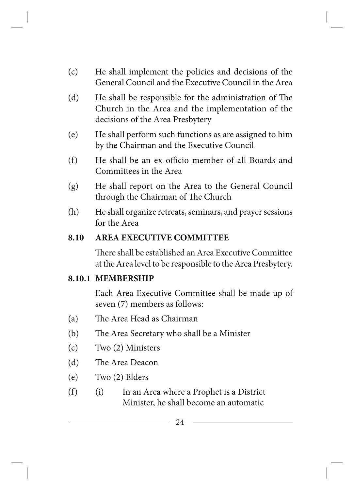- (c) He shall implement the policies and decisions of the General Council and the Executive Council in the Area
- (d) He shall be responsible for the administration of The Church in the Area and the implementation of the decisions of the Area Presbytery
- (e) He shall perform such functions as are assigned to him by the Chairman and the Executive Council
- (f) He shall be an ex-officio member of all Boards and Committees in the Area
- (g) He shall report on the Area to the General Council through the Chairman of The Church
- (h) He shall organize retreats, seminars, and prayer sessions for the Area

### **8.10 AREA EXECUTIVE COMMITTEE**

There shall be established an Area Executive Committee at the Area level to be responsible to the Area Presbytery.

### **8.10.1 MEMBERSHIP**

Each Area Executive Committee shall be made up of seven (7) members as follows:

- (a) The Area Head as Chairman
- (b) The Area Secretary who shall be a Minister
- (c) Two (2) Ministers
- (d) The Area Deacon
- (e) Two (2) Elders
- (f) (i) In an Area where a Prophet is a District Minister, he shall become an automatic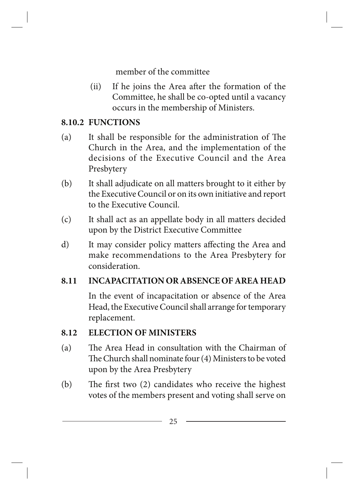member of the committee

(ii) If he joins the Area after the formation of the Committee, he shall be co-opted until a vacancy occurs in the membership of Ministers.

### **8.10.2 FUNCTIONS**

- (a) It shall be responsible for the administration of The Church in the Area, and the implementation of the decisions of the Executive Council and the Area Presbytery
- (b) It shall adjudicate on all matters brought to it either by the Executive Council or on its own initiative and report to the Executive Council.
- (c) It shall act as an appellate body in all matters decided upon by the District Executive Committee
- d) It may consider policy matters affecting the Area and make recommendations to the Area Presbytery for consideration.

### **8.11 INCAPACITATION OR ABSENCE OF AREA HEAD**

In the event of incapacitation or absence of the Area Head, the Executive Council shall arrange for temporary replacement.

### **8.12 ELECTION OF MINISTERS**

- (a) The Area Head in consultation with the Chairman of The Church shall nominate four (4) Ministers to be voted upon by the Area Presbytery
- (b) The first two (2) candidates who receive the highest votes of the members present and voting shall serve on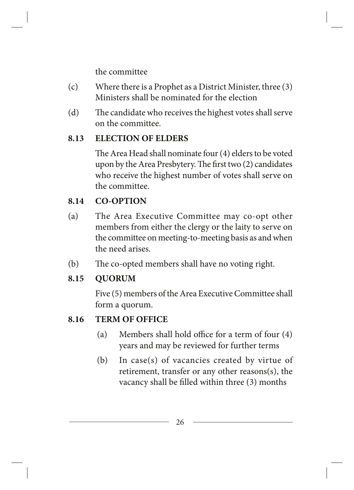the committee

- (c) Where there is a Prophet as a District Minister, three (3) Ministers shall be nominated for the election
- (d) The candidate who receives the highest votes shall serve on the committee.

### **8.13 ELECTION OF ELDERS**

The Area Head shall nominate four (4) elders to be voted upon by the Area Presbytery. The first two (2) candidates who receive the highest number of votes shall serve on the committee.

# **8.14 CO-OPTION**

- (a) The Area Executive Committee may co-opt other members from either the clergy or the laity to serve on the committee on meeting-to-meeting basis as and when the need arises.
- (b) The co-opted members shall have no voting right.

### **8.15 QUORUM**

Five (5) members of the Area Executive Committee shall form a quorum.

# **8.16 TERM OF OFFICE**

- (a) Members shall hold office for a term of four (4) years and may be reviewed for further terms
- (b) In case(s) of vacancies created by virtue of retirement, transfer or any other reasons(s), the vacancy shall be filled within three (3) months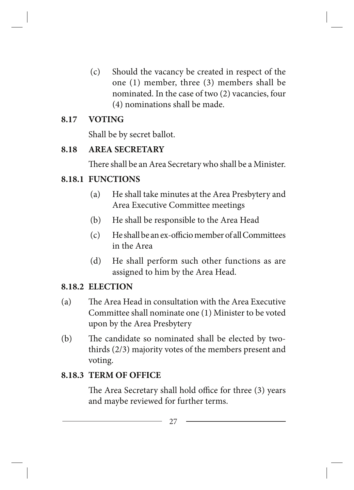(c) Should the vacancy be created in respect of the one (1) member, three (3) members shall be nominated. In the case of two (2) vacancies, four (4) nominations shall be made.

#### **8.17 VOTING**

Shall be by secret ballot.

#### **8.18 AREA SECRETARY**

There shall be an Area Secretary who shall be a Minister.

### **8.18.1 FUNCTIONS**

- (a) He shall take minutes at the Area Presbytery and Area Executive Committee meetings
- (b) He shall be responsible to the Area Head
- (c) He shall be an ex-officio member of all Committees in the Area
- (d) He shall perform such other functions as are assigned to him by the Area Head.

### **8.18.2 ELECTION**

- (a) The Area Head in consultation with the Area Executive Committee shall nominate one (1) Minister to be voted upon by the Area Presbytery
- (b) The candidate so nominated shall be elected by twothirds (2/3) majority votes of the members present and voting.

### **8.18.3 TERM OF OFFICE**

The Area Secretary shall hold office for three (3) years and maybe reviewed for further terms.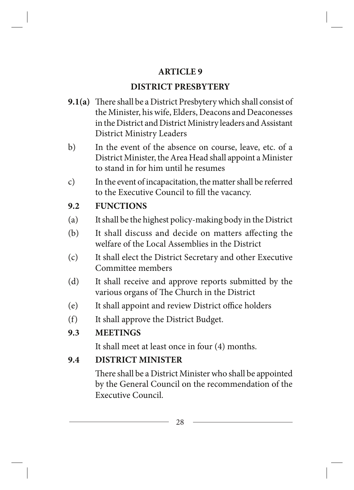### **ARTICLE 9**

# **DISTRICT PRESBYTERY**

- **9.1(a)** There shall be a District Presbytery which shall consist of the Minister, his wife, Elders, Deacons and Deaconesses in the District and District Ministry leaders and Assistant District Ministry Leaders
- b) In the event of the absence on course, leave, etc. of a District Minister, the Area Head shall appoint a Minister to stand in for him until he resumes
- c) In the event of incapacitation, the matter shall be referred to the Executive Council to fill the vacancy.

# **9.2 FUNCTIONS**

- (a) It shall be the highest policy-making body in the District
- (b) It shall discuss and decide on matters affecting the welfare of the Local Assemblies in the District
- (c) It shall elect the District Secretary and other Executive Committee members
- (d) It shall receive and approve reports submitted by the various organs of The Church in the District
- (e) It shall appoint and review District office holders
- (f) It shall approve the District Budget.
- **9.3 MEETINGS**

It shall meet at least once in four (4) months.

# **9.4 DISTRICT MINISTER**

There shall be a District Minister who shall be appointed by the General Council on the recommendation of the Executive Council.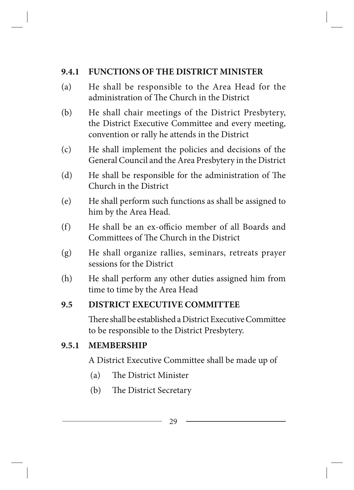### **9.4.1 FUNCTIONS OF THE DISTRICT MINISTER**

- (a) He shall be responsible to the Area Head for the administration of The Church in the District
- (b) He shall chair meetings of the District Presbytery, the District Executive Committee and every meeting, convention or rally he attends in the District
- (c) He shall implement the policies and decisions of the General Council and the Area Presbytery in the District
- (d) He shall be responsible for the administration of The Church in the District
- (e) He shall perform such functions as shall be assigned to him by the Area Head.
- (f) He shall be an ex-officio member of all Boards and Committees of The Church in the District
- (g) He shall organize rallies, seminars, retreats prayer sessions for the District
- (h) He shall perform any other duties assigned him from time to time by the Area Head

### **9.5 DISTRICT EXECUTIVE COMMITTEE**

There shall be established a District Executive Committee to be responsible to the District Presbytery.

### **9.5.1 MEMBERSHIP**

A District Executive Committee shall be made up of

- (a) The District Minister
- (b) The District Secretary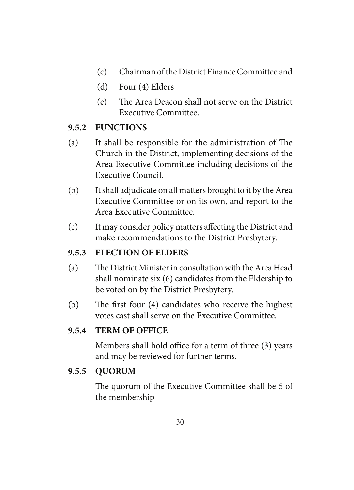- (c) Chairman of the District Finance Committee and
- (d) Four (4) Elders
- (e) The Area Deacon shall not serve on the District Executive Committee.

### **9.5.2 FUNCTIONS**

- (a) It shall be responsible for the administration of The Church in the District, implementing decisions of the Area Executive Committee including decisions of the Executive Council.
- (b) It shall adjudicate on all matters brought to it by the Area Executive Committee or on its own, and report to the Area Executive Committee.
- (c) It may consider policy matters affecting the District and make recommendations to the District Presbytery.

### **9.5.3 ELECTION OF ELDERS**

- (a) The District Minister in consultation with the Area Head shall nominate six (6) candidates from the Eldership to be voted on by the District Presbytery.
- (b) The first four (4) candidates who receive the highest votes cast shall serve on the Executive Committee.

### **9.5.4 TERM OF OFFICE**

Members shall hold office for a term of three (3) years and may be reviewed for further terms.

### **9.5.5 QUORUM**

The quorum of the Executive Committee shall be 5 of the membership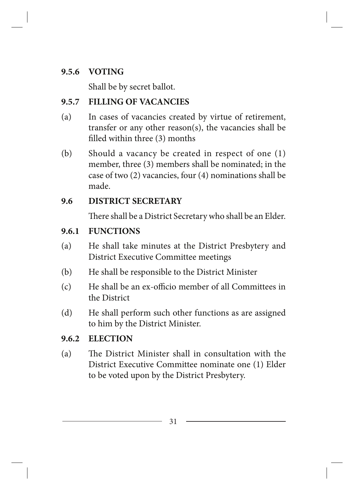### **9.5.6 VOTING**

Shall be by secret ballot.

# **9.5.7 FILLING OF VACANCIES**

- (a) In cases of vacancies created by virtue of retirement, transfer or any other reason(s), the vacancies shall be filled within three (3) months
- (b) Should a vacancy be created in respect of one (1) member, three (3) members shall be nominated; in the case of two (2) vacancies, four (4) nominations shall be made.

# **9.6 DISTRICT SECRETARY**

There shall be a District Secretary who shall be an Elder.

# **9.6.1 FUNCTIONS**

- (a) He shall take minutes at the District Presbytery and District Executive Committee meetings
- (b) He shall be responsible to the District Minister
- (c) He shall be an ex-officio member of all Committees in the District
- (d) He shall perform such other functions as are assigned to him by the District Minister.

### **9.6.2 ELECTION**

(a) The District Minister shall in consultation with the District Executive Committee nominate one (1) Elder to be voted upon by the District Presbytery.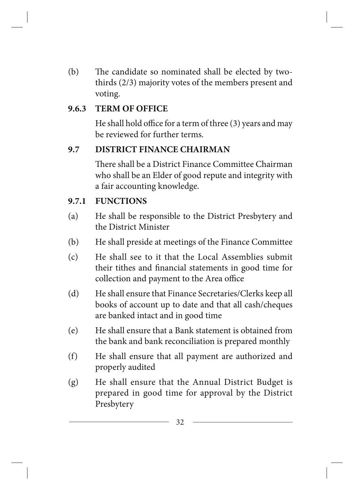(b) The candidate so nominated shall be elected by twothirds (2/3) majority votes of the members present and voting.

#### **9.6.3 TERM OF OFFICE**

He shall hold office for a term of three (3) years and may be reviewed for further terms.

#### **9.7 DISTRICT FINANCE CHAIRMAN**

There shall be a District Finance Committee Chairman who shall be an Elder of good repute and integrity with a fair accounting knowledge.

### **9.7.1 FUNCTIONS**

- (a) He shall be responsible to the District Presbytery and the District Minister
- (b) He shall preside at meetings of the Finance Committee
- (c) He shall see to it that the Local Assemblies submit their tithes and financial statements in good time for collection and payment to the Area office
- (d) He shall ensure that Finance Secretaries/Clerks keep all books of account up to date and that all cash/cheques are banked intact and in good time
- (e) He shall ensure that a Bank statement is obtained from the bank and bank reconciliation is prepared monthly
- (f) He shall ensure that all payment are authorized and properly audited
- (g) He shall ensure that the Annual District Budget is prepared in good time for approval by the District Presbytery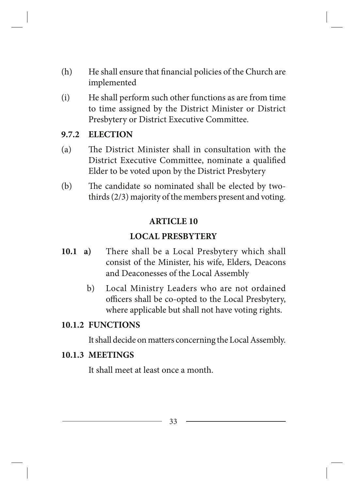- (h) He shall ensure that financial policies of the Church are implemented
- (i) He shall perform such other functions as are from time to time assigned by the District Minister or District Presbytery or District Executive Committee.

#### **9.7.2 ELECTION**

- (a) The District Minister shall in consultation with the District Executive Committee, nominate a qualified Elder to be voted upon by the District Presbytery
- (b) The candidate so nominated shall be elected by twothirds (2/3) majority of the members present and voting.

#### **ARTICLE 10**

#### **LOCAL PRESBYTERY**

- **10.1 a)** There shall be a Local Presbytery which shall consist of the Minister, his wife, Elders, Deacons and Deaconesses of the Local Assembly
	- b) Local Ministry Leaders who are not ordained officers shall be co-opted to the Local Presbytery, where applicable but shall not have voting rights.

#### **10.1.2 FUNCTIONS**

It shall decide on matters concerning the Local Assembly.

#### **10.1.3 MEETINGS**

It shall meet at least once a month.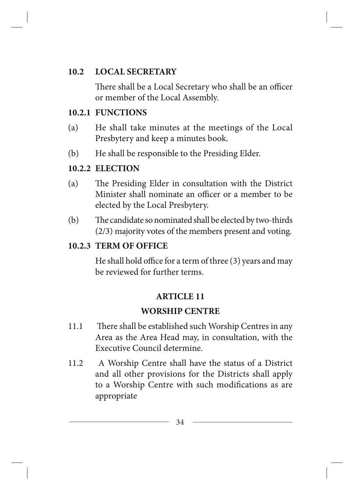### **10.2 LOCAL SECRETARY**

There shall be a Local Secretary who shall be an officer or member of the Local Assembly.

### **10.2.1 FUNCTIONS**

- (a) He shall take minutes at the meetings of the Local Presbytery and keep a minutes book.
- (b) He shall be responsible to the Presiding Elder.

### **10.2.2 ELECTION**

- (a) The Presiding Elder in consultation with the District Minister shall nominate an officer or a member to be elected by the Local Presbytery.
- (b) The candidate so nominated shall be elected by two-thirds (2/3) majority votes of the members present and voting.

### **10.2.3 TERM OF OFFICE**

He shall hold office for a term of three (3) years and may be reviewed for further terms.

### **ARTICLE 11**

### **WORSHIP CENTRE**

- 11.1 There shall be established such Worship Centres in any Area as the Area Head may, in consultation, with the Executive Council determine.
- 11.2 A Worship Centre shall have the status of a District and all other provisions for the Districts shall apply to a Worship Centre with such modifications as are appropriate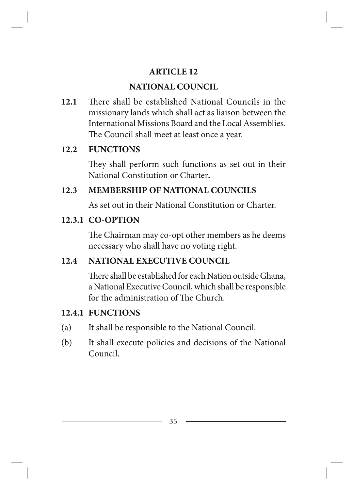### **ARTICLE 12**

# **NATIONAL COUNCIL**

**12.1** There shall be established National Councils in the missionary lands which shall act as liaison between the International Missions Board and the Local Assemblies. The Council shall meet at least once a year.

# **12.2 FUNCTIONS**

They shall perform such functions as set out in their National Constitution or Charter*.*

# **12.3 MEMBERSHIP OF NATIONAL COUNCILS**

As set out in their National Constitution or Charter.

# **12.3.1 CO-OPTION**

The Chairman may co-opt other members as he deems necessary who shall have no voting right.

# **12.4 NATIONAL EXECUTIVE COUNCIL**

There shall be established for each Nation outside Ghana, a National Executive Council, which shall be responsible for the administration of The Church.

# **12.4.1 FUNCTIONS**

- (a) It shall be responsible to the National Council.
- (b) It shall execute policies and decisions of the National Council.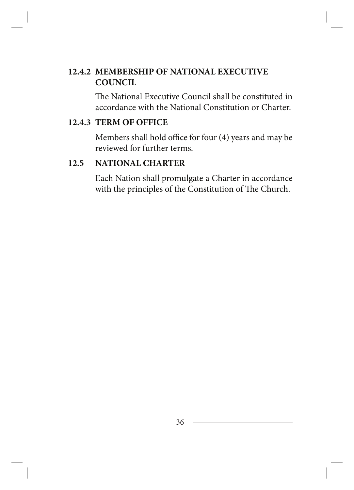# **12.4.2 MEMBERSHIP OF NATIONAL EXECUTIVE COUNCIL**

The National Executive Council shall be constituted in accordance with the National Constitution or Charter.

#### **12.4.3 TERM OF OFFICE**

Members shall hold office for four (4) years and may be reviewed for further terms.

### **12.5 NATIONAL CHARTER**

Each Nation shall promulgate a Charter in accordance with the principles of the Constitution of The Church.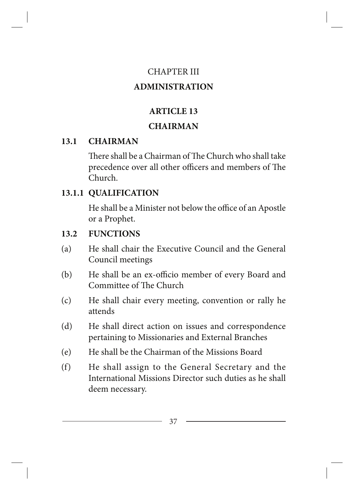#### CHAPTER III

### **ADMINISTRATION**

# **ARTICLE 13**

#### **CHAIRMAN**

# **13.1 CHAIRMAN**

There shall be a Chairman of The Church who shall take precedence over all other officers and members of The Church.

# **13.1.1 QUALIFICATION**

He shall be a Minister not below the office of an Apostle or a Prophet.

# **13.2 FUNCTIONS**

- (a) He shall chair the Executive Council and the General Council meetings
- (b) He shall be an ex-officio member of every Board and Committee of The Church
- (c) He shall chair every meeting, convention or rally he attends
- (d) He shall direct action on issues and correspondence pertaining to Missionaries and External Branches
- (e) He shall be the Chairman of the Missions Board
- (f) He shall assign to the General Secretary and the International Missions Director such duties as he shall deem necessary.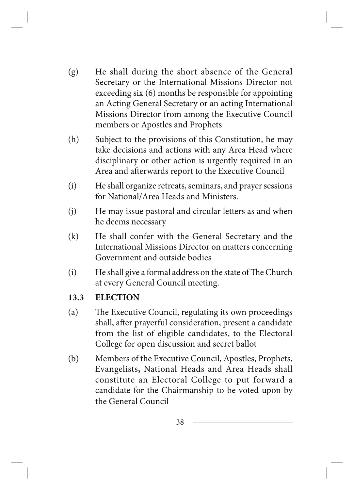- (g) He shall during the short absence of the General Secretary or the International Missions Director not exceeding six (6) months be responsible for appointing an Acting General Secretary or an acting International Missions Director from among the Executive Council members or Apostles and Prophets
- (h) Subject to the provisions of this Constitution, he may take decisions and actions with any Area Head where disciplinary or other action is urgently required in an Area and afterwards report to the Executive Council
- (i) He shall organize retreats, seminars, and prayer sessions for National/Area Heads and Ministers.
- (j) He may issue pastoral and circular letters as and when he deems necessary
- (k) He shall confer with the General Secretary and the International Missions Director on matters concerning Government and outside bodies
- (i) He shall give a formal address on the state of The Church at every General Council meeting.

#### **13.3 ELECTION**

- (a) The Executive Council, regulating its own proceedings shall, after prayerful consideration, present a candidate from the list of eligible candidates, to the Electoral College for open discussion and secret ballot
- (b) Members of the Executive Council, Apostles, Prophets, Evangelists**,** National Heads and Area Heads shall constitute an Electoral College to put forward a candidate for the Chairmanship to be voted upon by the General Council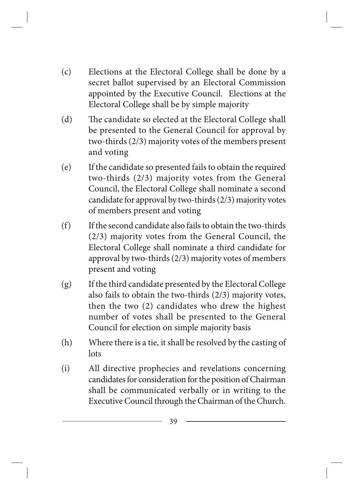- (c) Elections at the Electoral College shall be done by a secret ballot supervised by an Electoral Commission appointed by the Executive Council. Elections at the Electoral College shall be by simple majority
- (d) The candidate so elected at the Electoral College shall be presented to the General Council for approval by two-thirds (2/3) majority votes of the members present and voting
- (e) If the candidate so presented fails to obtain the required two-thirds (2/3) majority votes from the General Council, the Electoral College shall nominate a second candidate for approval by two-thirds (2/3) majority votes of members present and voting
- (f) If the second candidate also fails to obtain the two-thirds (2/3) majority votes from the General Council, the Electoral College shall nominate a third candidate for approval by two-thirds (2/3) majority votes of members present and voting
- (g) If the third candidate presented by the Electoral College also fails to obtain the two-thirds (2/3) majority votes, then the two (2) candidates who drew the highest number of votes shall be presented to the General Council for election on simple majority basis
- (h) Where there is a tie, it shall be resolved by the casting of lots
- (i) All directive prophecies and revelations concerning candidates for consideration for the position of Chairman shall be communicated verbally or in writing to the Executive Council through the Chairman of the Church.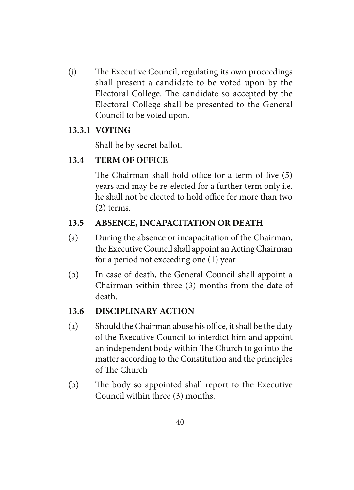(j) The Executive Council, regulating its own proceedings shall present a candidate to be voted upon by the Electoral College. The candidate so accepted by the Electoral College shall be presented to the General Council to be voted upon.

#### **13.3.1 VOTING**

Shall be by secret ballot.

#### **13.4 TERM OF OFFICE**

The Chairman shall hold office for a term of five (5) years and may be re-elected for a further term only i.e. he shall not be elected to hold office for more than two (2) terms.

#### **13.5 ABSENCE, INCAPACITATION OR DEATH**

- (a) During the absence or incapacitation of the Chairman, the Executive Council shall appoint an Acting Chairman for a period not exceeding one (1) year
- (b) In case of death, the General Council shall appoint a Chairman within three (3) months from the date of death.

#### **13.6 DISCIPLINARY ACTION**

- (a) Should the Chairman abuse his office, it shall be the duty of the Executive Council to interdict him and appoint an independent body within The Church to go into the matter according to the Constitution and the principles of The Church
- (b) The body so appointed shall report to the Executive Council within three (3) months.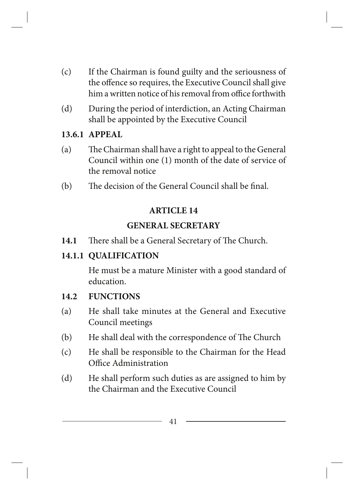- (c) If the Chairman is found guilty and the seriousness of the offence so requires, the Executive Council shall give him a written notice of his removal from office forthwith
- (d) During the period of interdiction, an Acting Chairman shall be appointed by the Executive Council

#### **13.6.1 APPEAL**

- (a) The Chairman shall have a right to appeal to the General Council within one (1) month of the date of service of the removal notice
- (b) The decision of the General Council shall be final.

#### **ARTICLE 14**

# **GENERAL SECRETARY**

**14.1** There shall be a General Secretary of The Church.

# **14.1.1 QUALIFICATION**

He must be a mature Minister with a good standard of education.

# **14.2 FUNCTIONS**

- (a) He shall take minutes at the General and Executive Council meetings
- (b) He shall deal with the correspondence of The Church
- (c) He shall be responsible to the Chairman for the Head Office Administration
- (d) He shall perform such duties as are assigned to him by the Chairman and the Executive Council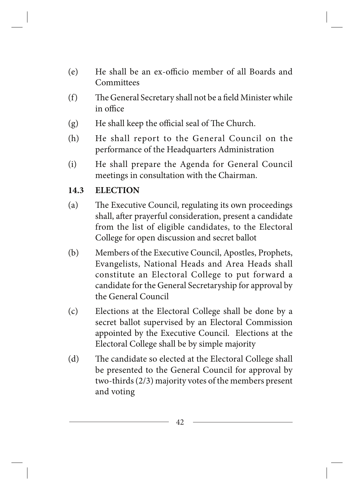- (e) He shall be an ex-officio member of all Boards and Committees
- (f) The General Secretary shall not be a field Minister while in office
- (g) He shall keep the official seal of The Church.
- (h) He shall report to the General Council on the performance of the Headquarters Administration
- (i) He shall prepare the Agenda for General Council meetings in consultation with the Chairman.

#### **14.3 ELECTION**

- (a) The Executive Council, regulating its own proceedings shall, after prayerful consideration, present a candidate from the list of eligible candidates, to the Electoral College for open discussion and secret ballot
- (b) Members of the Executive Council, Apostles, Prophets, Evangelists, National Heads and Area Heads shall constitute an Electoral College to put forward a candidate for the General Secretaryship for approval by the General Council
- (c) Elections at the Electoral College shall be done by a secret ballot supervised by an Electoral Commission appointed by the Executive Council. Elections at the Electoral College shall be by simple majority
- (d) The candidate so elected at the Electoral College shall be presented to the General Council for approval by two-thirds (2/3) majority votes of the members present and voting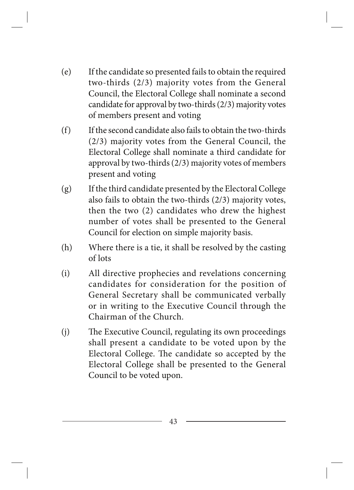- (e) If the candidate so presented fails to obtain the required two-thirds (2/3) majority votes from the General Council, the Electoral College shall nominate a second candidate for approval by two-thirds (2/3) majority votes of members present and voting
- (f) If the second candidate also fails to obtain the two-thirds (2/3) majority votes from the General Council, the Electoral College shall nominate a third candidate for approval by two-thirds (2/3) majority votes of members present and voting
- (g) If the third candidate presented by the Electoral College also fails to obtain the two-thirds (2/3) majority votes, then the two (2) candidates who drew the highest number of votes shall be presented to the General Council for election on simple majority basis.
- (h) Where there is a tie, it shall be resolved by the casting of lots
- (i) All directive prophecies and revelations concerning candidates for consideration for the position of General Secretary shall be communicated verbally or in writing to the Executive Council through the Chairman of the Church.
- (j) The Executive Council, regulating its own proceedings shall present a candidate to be voted upon by the Electoral College. The candidate so accepted by the Electoral College shall be presented to the General Council to be voted upon.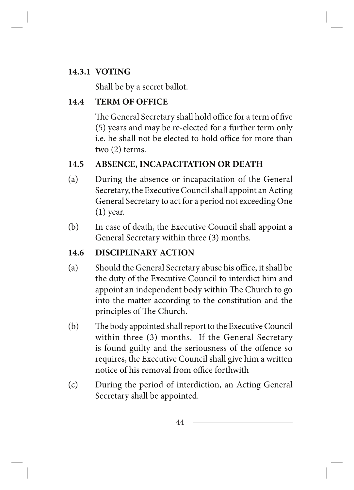# **14.3.1 VOTING**

Shall be by a secret ballot.

# **14.4 TERM OF OFFICE**

The General Secretary shall hold office for a term of five (5) years and may be re-elected for a further term only i.e. he shall not be elected to hold office for more than two (2) terms.

# **14.5 ABSENCE, INCAPACITATION OR DEATH**

- (a) During the absence or incapacitation of the General Secretary, the Executive Council shall appoint an Acting General Secretary to act for a period not exceeding One (1) year.
- (b) In case of death, the Executive Council shall appoint a General Secretary within three (3) months.

# **14.6 DISCIPLINARY ACTION**

- (a) Should the General Secretary abuse his office, it shall be the duty of the Executive Council to interdict him and appoint an independent body within The Church to go into the matter according to the constitution and the principles of The Church.
- (b) The body appointed shall report to the Executive Council within three (3) months. If the General Secretary is found guilty and the seriousness of the offence so requires, the Executive Council shall give him a written notice of his removal from office forthwith
- (c) During the period of interdiction, an Acting General Secretary shall be appointed.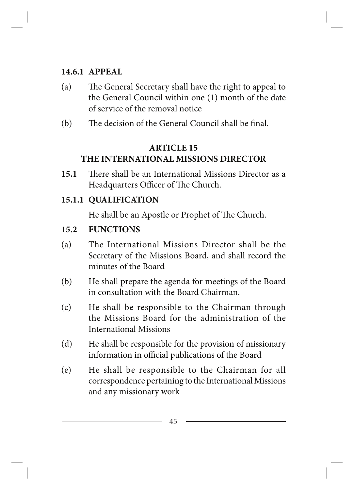#### **14.6.1 APPEAL**

- (a) The General Secretary shall have the right to appeal to the General Council within one (1) month of the date of service of the removal notice
- (b) The decision of the General Council shall be final.

### **ARTICLE 15 THE INTERNATIONAL MISSIONS DIRECTOR**

**15.1** There shall be an International Missions Director as a Headquarters Officer of The Church.

# **15.1.1 QUALIFICATION**

He shall be an Apostle or Prophet of The Church.

# **15.2 FUNCTIONS**

- (a) The International Missions Director shall be the Secretary of the Missions Board, and shall record the minutes of the Board
- (b) He shall prepare the agenda for meetings of the Board in consultation with the Board Chairman.
- (c) He shall be responsible to the Chairman through the Missions Board for the administration of the International Missions
- (d) He shall be responsible for the provision of missionary information in official publications of the Board
- (e) He shall be responsible to the Chairman for all correspondence pertaining to the International Missions and any missionary work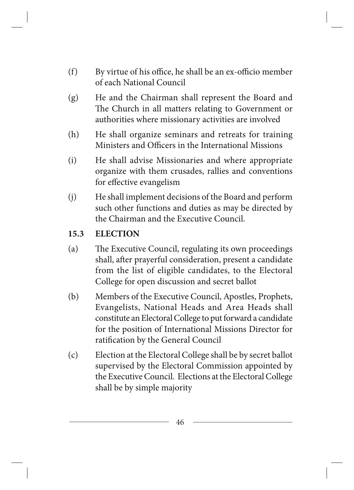- (f) By virtue of his office, he shall be an ex-officio member of each National Council
- (g) He and the Chairman shall represent the Board and The Church in all matters relating to Government or authorities where missionary activities are involved
- (h) He shall organize seminars and retreats for training Ministers and Officers in the International Missions
- (i) He shall advise Missionaries and where appropriate organize with them crusades, rallies and conventions for effective evangelism
- (j) He shall implement decisions of the Board and perform such other functions and duties as may be directed by the Chairman and the Executive Council.

#### **15.3 ELECTION**

- (a) The Executive Council, regulating its own proceedings shall, after prayerful consideration, present a candidate from the list of eligible candidates, to the Electoral College for open discussion and secret ballot
- (b) Members of the Executive Council, Apostles, Prophets, Evangelists, National Heads and Area Heads shall constitute an Electoral College to put forward a candidate for the position of International Missions Director for ratification by the General Council
- (c) Election at the Electoral College shall be by secret ballot supervised by the Electoral Commission appointed by the Executive Council. Elections at the Electoral College shall be by simple majority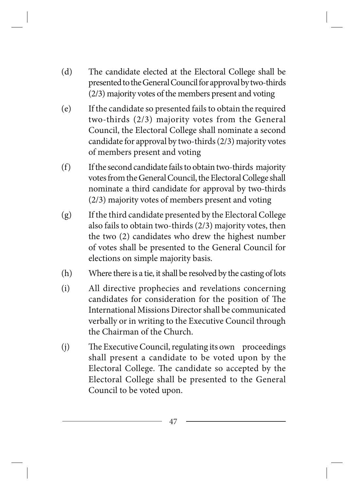- (d) The candidate elected at the Electoral College shall be presented to the General Council for approval by two-thirds (2/3) majority votes of the members present and voting
- (e) If the candidate so presented fails to obtain the required two-thirds (2/3) majority votes from the General Council, the Electoral College shall nominate a second candidate for approval by two-thirds (2/3) majority votes of members present and voting
- (f) If the second candidate fails to obtain two-thirds majority votes from the General Council, the Electoral College shall nominate a third candidate for approval by two-thirds (2/3) majority votes of members present and voting
- (g) If the third candidate presented by the Electoral College also fails to obtain two-thirds (2/3) majority votes, then the two (2) candidates who drew the highest number of votes shall be presented to the General Council for elections on simple majority basis.
- (h) Where there is a tie, it shall be resolved by the casting of lots
- (i) All directive prophecies and revelations concerning candidates for consideration for the position of The International Missions Director shall be communicated verbally or in writing to the Executive Council through the Chairman of the Church.
- (j) The Executive Council, regulating its own proceedings shall present a candidate to be voted upon by the Electoral College. The candidate so accepted by the Electoral College shall be presented to the General Council to be voted upon.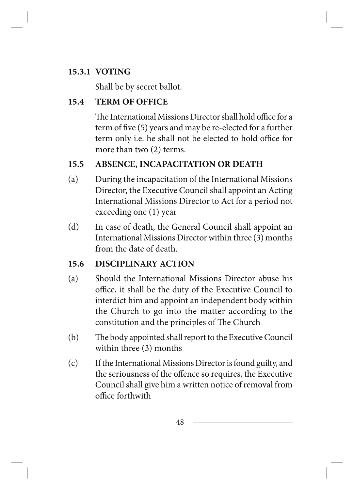# **15.3.1 VOTING**

Shall be by secret ballot.

# **15.4 TERM OF OFFICE**

The International Missions Director shall hold office for a term of five (5) years and may be re-elected for a further term only i.e. he shall not be elected to hold office for more than two (2) terms.

# **15.5 ABSENCE, INCAPACITATION OR DEATH**

- (a) During the incapacitation of the International Missions Director, the Executive Council shall appoint an Acting International Missions Director to Act for a period not exceeding one (1) year
- (d) In case of death, the General Council shall appoint an International Missions Director within three (3) months from the date of death.

# **15.6 DISCIPLINARY ACTION**

- (a) Should the International Missions Director abuse his office, it shall be the duty of the Executive Council to interdict him and appoint an independent body within the Church to go into the matter according to the constitution and the principles of The Church
- (b) The body appointed shall report to the Executive Council within three (3) months
- (c) If the International Missions Director is found guilty, and the seriousness of the offence so requires, the Executive Council shall give him a written notice of removal from office forthwith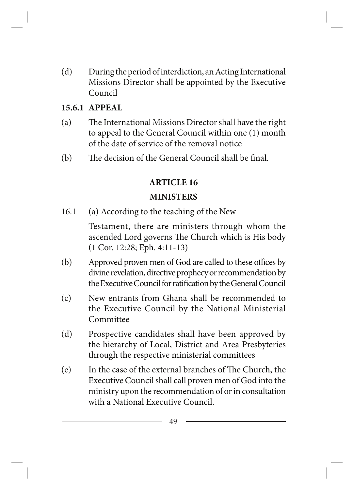(d) During the period of interdiction, an Acting International Missions Director shall be appointed by the Executive Council

#### **15.6.1 APPEAL**

- (a) The International Missions Director shall have the right to appeal to the General Council within one (1) month of the date of service of the removal notice
- (b) The decision of the General Council shall be final.

# **ARTICLE 16**

#### **MINISTERS**

16.1 (a) According to the teaching of the New

Testament, there are ministers through whom the ascended Lord governs The Church which is His body (1 Cor. 12:28; Eph. 4:11-13)

- (b) Approved proven men of God are called to these offices by divine revelation, directive prophecy or recommendation by the Executive Council for ratification by the General Council
- (c) New entrants from Ghana shall be recommended to the Executive Council by the National Ministerial Committee
- (d) Prospective candidates shall have been approved by the hierarchy of Local, District and Area Presbyteries through the respective ministerial committees
- (e) In the case of the external branches of The Church, the Executive Council shall call proven men of God into the ministry upon the recommendation of or in consultation with a National Executive Council.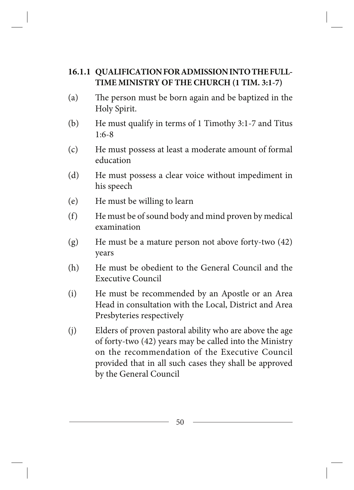#### **16.1.1 QUALIFICATION FOR ADMISSION INTO THE FULL-TIME MINISTRY OF THE CHURCH (1 TIM. 3:1-7)**

- (a) The person must be born again and be baptized in the Holy Spirit.
- (b) He must qualify in terms of 1 Timothy 3:1-7 and Titus 1:6-8
- (c) He must possess at least a moderate amount of formal education
- (d) He must possess a clear voice without impediment in his speech
- (e) He must be willing to learn
- (f) He must be of sound body and mind proven by medical examination
- (g) He must be a mature person not above forty-two (42) years
- (h) He must be obedient to the General Council and the Executive Council
- (i) He must be recommended by an Apostle or an Area Head in consultation with the Local, District and Area Presbyteries respectively
- (j) Elders of proven pastoral ability who are above the age of forty-two (42) years may be called into the Ministry on the recommendation of the Executive Council provided that in all such cases they shall be approved by the General Council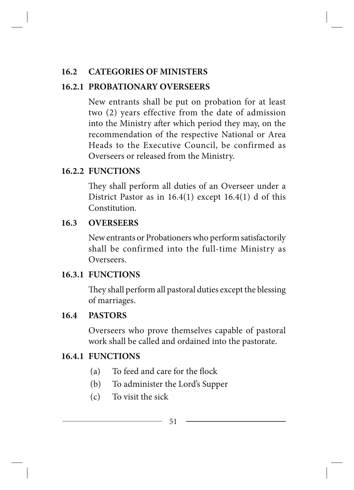# **16.2 CATEGORIES OF MINISTERS**

### **16.2.1 PROBATIONARY OVERSEERS**

New entrants shall be put on probation for at least two (2) years effective from the date of admission into the Ministry after which period they may, on the recommendation of the respective National or Area Heads to the Executive Council, be confirmed as Overseers or released from the Ministry.

# **16.2.2 FUNCTIONS**

They shall perform all duties of an Overseer under a District Pastor as in  $16.4(1)$  except  $16.4(1)$  d of this Constitution.

#### **16.3 OVERSEERS**

New entrants or Probationers who perform satisfactorily shall be confirmed into the full-time Ministry as Overseers.

#### **16.3.1 FUNCTIONS**

They shall perform all pastoral duties except the blessing of marriages.

#### **16.4 PASTORS**

Overseers who prove themselves capable of pastoral work shall be called and ordained into the pastorate.

# **16.4.1 FUNCTIONS**

- (a) To feed and care for the flock
- (b) To administer the Lord's Supper
- (c) To visit the sick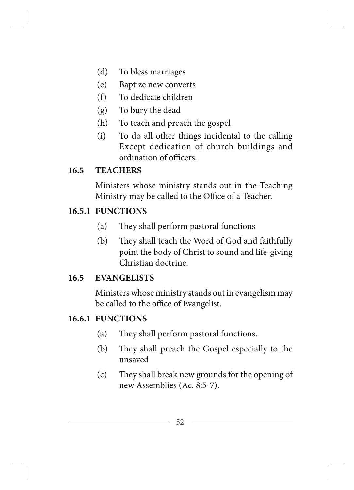- (d) To bless marriages
- (e) Baptize new converts
- (f) To dedicate children
- (g) To bury the dead
- (h) To teach and preach the gospel
- (i) To do all other things incidental to the calling Except dedication of church buildings and ordination of officers.

#### **16.5 TEACHERS**

Ministers whose ministry stands out in the Teaching Ministry may be called to the Office of a Teacher.

#### **16.5.1 FUNCTIONS**

- (a) They shall perform pastoral functions
- (b) They shall teach the Word of God and faithfully point the body of Christ to sound and life-giving Christian doctrine.

#### **16.5 EVANGELISTS**

Ministers whose ministry stands out in evangelism may be called to the office of Evangelist.

#### **16.6.1 FUNCTIONS**

- (a) They shall perform pastoral functions.
- (b) They shall preach the Gospel especially to the unsaved
- (c) They shall break new grounds for the opening of new Assemblies (Ac. 8:5-7).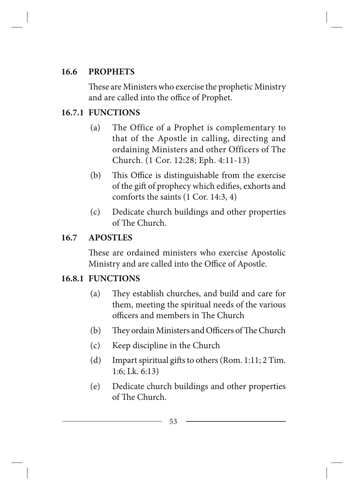#### **16.6 PROPHETS**

These are Ministers who exercise the prophetic Ministry and are called into the office of Prophet.

# **16.7.1 FUNCTIONS**

- (a) The Office of a Prophet is complementary to that of the Apostle in calling, directing and ordaining Ministers and other Officers of The Church. (1 Cor. 12:28; Eph. 4:11-13)
- (b) This Office is distinguishable from the exercise of the gift of prophecy which edifies, exhorts and comforts the saints (1 Cor. 14:3, 4)
- (c) Dedicate church buildings and other properties of The Church.

# **16.7 APOSTLES**

These are ordained ministers who exercise Apostolic Ministry and are called into the Office of Apostle.

# **16.8.1 FUNCTIONS**

- (a) They establish churches, and build and care for them, meeting the spiritual needs of the various officers and members in The Church
- (b) They ordain Ministers and Officers of The Church
- (c) Keep discipline in the Church
- (d) Impart spiritual gifts to others (Rom. 1:11; 2 Tim. 1:6; Lk. 6:13)
- (e) Dedicate church buildings and other properties of The Church.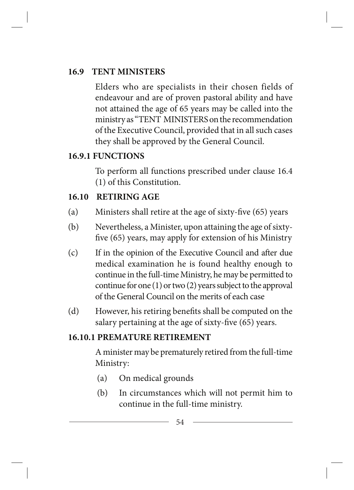### **16.9 TENT MINISTERS**

Elders who are specialists in their chosen fields of endeavour and are of proven pastoral ability and have not attained the age of 65 years may be called into the ministry as "TENT MINISTERS on the recommendation of the Executive Council, provided that in all such cases they shall be approved by the General Council.

# **16.9.1 FUNCTIONS**

To perform all functions prescribed under clause 16.4 (1) of this Constitution.

#### **16.10 RETIRING AGE**

- (a) Ministers shall retire at the age of sixty-five (65) years
- (b) Nevertheless, a Minister, upon attaining the age of sixtyfive (65) years, may apply for extension of his Ministry
- (c) If in the opinion of the Executive Council and after due medical examination he is found healthy enough to continue in the full-time Ministry, he may be permitted to continue for one (1) or two (2) years subject to the approval of the General Council on the merits of each case
- (d) However, his retiring benefits shall be computed on the salary pertaining at the age of sixty-five (65) years.

# **16.10.1 PREMATURE RETIREMENT**

A minister may be prematurely retired from the full-time Ministry:

- (a) On medical grounds
- (b) In circumstances which will not permit him to continue in the full-time ministry.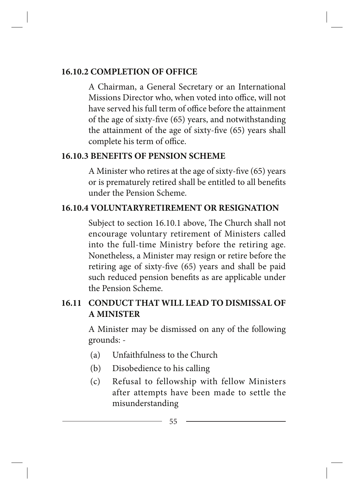#### **16.10.2 COMPLETION OF OFFICE**

A Chairman, a General Secretary or an International Missions Director who, when voted into office, will not have served his full term of office before the attainment of the age of sixty-five (65) years, and notwithstanding the attainment of the age of sixty-five (65) years shall complete his term of office.

#### **16.10.3 BENEFITS OF PENSION SCHEME**

A Minister who retires at the age of sixty-five (65) years or is prematurely retired shall be entitled to all benefits under the Pension Scheme.

#### **16.10.4 VOLUNTARYRETIREMENT OR RESIGNATION**

Subject to section 16.10.1 above, The Church shall not encourage voluntary retirement of Ministers called into the full-time Ministry before the retiring age. Nonetheless, a Minister may resign or retire before the retiring age of sixty-five (65) years and shall be paid such reduced pension benefits as are applicable under the Pension Scheme.

# **16.11 CONDUCT THAT WILL LEAD TO DISMISSAL OF A MINISTER**

A Minister may be dismissed on any of the following grounds: -

- (a) Unfaithfulness to the Church
- (b) Disobedience to his calling
- (c) Refusal to fellowship with fellow Ministers after attempts have been made to settle the misunderstanding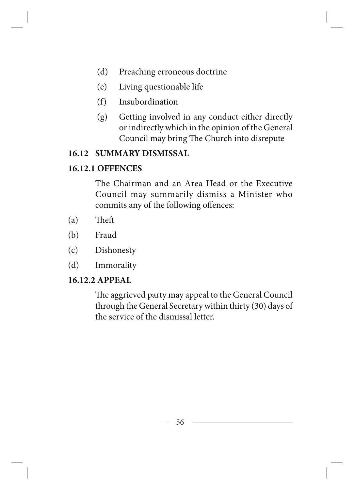- (d) Preaching erroneous doctrine
- (e) Living questionable life
- (f) Insubordination
- (g) Getting involved in any conduct either directly or indirectly which in the opinion of the General Council may bring The Church into disrepute

#### **16.12 SUMMARY DISMISSAL**

#### **16.12.1 OFFENCES**

The Chairman and an Area Head or the Executive Council may summarily dismiss a Minister who commits any of the following offences:

- (a) Theft
- (b) Fraud
- (c) Dishonesty
- (d) Immorality

#### **16.12.2 APPEAL**

The aggrieved party may appeal to the General Council through the General Secretary within thirty (30) days of the service of the dismissal letter.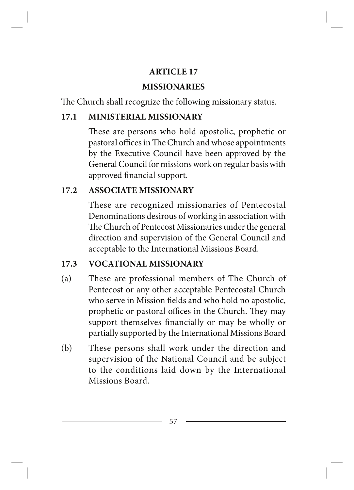#### **ARTICLE 17**

#### **MISSIONARIES**

The Church shall recognize the following missionary status.

### **17.1 MINISTERIAL MISSIONARY**

These are persons who hold apostolic, prophetic or pastoral offices in The Church and whose appointments by the Executive Council have been approved by the General Council for missions work on regular basis with approved financial support.

# **17.2 ASSOCIATE MISSIONARY**

These are recognized missionaries of Pentecostal Denominations desirous of working in association with The Church of Pentecost Missionaries under the general direction and supervision of the General Council and acceptable to the International Missions Board.

# **17.3 VOCATIONAL MISSIONARY**

- (a) These are professional members of The Church of Pentecost or any other acceptable Pentecostal Church who serve in Mission fields and who hold no apostolic, prophetic or pastoral offices in the Church. They may support themselves financially or may be wholly or partially supported by the International Missions Board
- (b) These persons shall work under the direction and supervision of the National Council and be subject to the conditions laid down by the International Missions Board.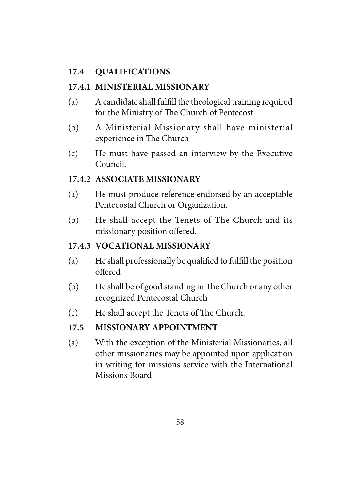### **17.4 QUALIFICATIONS**

#### **17.4.1 MINISTERIAL MISSIONARY**

- (a) A candidate shall fulfill the theological training required for the Ministry of The Church of Pentecost
- (b) A Ministerial Missionary shall have ministerial experience in The Church
- (c) He must have passed an interview by the Executive Council.

# **17.4.2 ASSOCIATE MISSIONARY**

- (a) He must produce reference endorsed by an acceptable Pentecostal Church or Organization.
- (b) He shall accept the Tenets of The Church and its missionary position offered.

### **17.4.3 VOCATIONAL MISSIONARY**

- (a) He shall professionally be qualified to fulfill the position offered
- (b) He shall be of good standing in The Church or any other recognized Pentecostal Church
- (c) He shall accept the Tenets of The Church.

#### **17.5 MISSIONARY APPOINTMENT**

(a) With the exception of the Ministerial Missionaries, all other missionaries may be appointed upon application in writing for missions service with the International Missions Board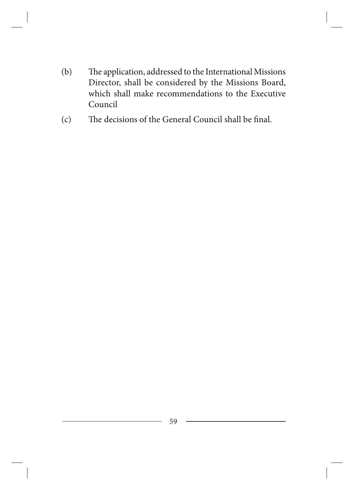- (b) The application, addressed to the International Missions Director, shall be considered by the Missions Board, which shall make recommendations to the Executive Council
- (c) The decisions of the General Council shall be final.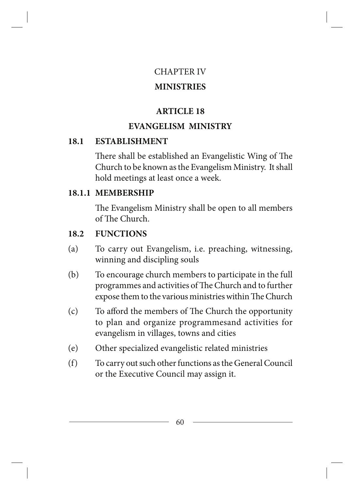#### CHAPTER IV

#### **MINISTRIES**

# **ARTICLE 18**

# **EVANGELISM MINISTRY**

# **18.1 ESTABLISHMENT**

There shall be established an Evangelistic Wing of The Church to be known as the Evangelism Ministry. It shall hold meetings at least once a week.

# **18.1.1 MEMBERSHIP**

The Evangelism Ministry shall be open to all members of The Church.

# **18.2 FUNCTIONS**

- (a) To carry out Evangelism, i.e. preaching, witnessing, winning and discipling souls
- (b) To encourage church members to participate in the full programmes and activities of The Church and to further expose them to the various ministries within The Church
- (c) To afford the members of The Church the opportunity to plan and organize programmesand activities for evangelism in villages, towns and cities
- (e) Other specialized evangelistic related ministries
- (f) To carry out such other functions as the General Council or the Executive Council may assign it.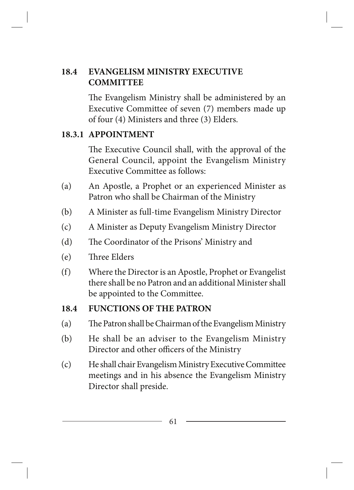#### **18.4 EVANGELISM MINISTRY EXECUTIVE COMMITTEE**

The Evangelism Ministry shall be administered by an Executive Committee of seven (7) members made up of four (4) Ministers and three (3) Elders.

#### **18.3.1 APPOINTMENT**

The Executive Council shall, with the approval of the General Council, appoint the Evangelism Ministry Executive Committee as follows:

- (a) An Apostle, a Prophet or an experienced Minister as Patron who shall be Chairman of the Ministry
- (b) A Minister as full-time Evangelism Ministry Director
- (c) A Minister as Deputy Evangelism Ministry Director
- (d) The Coordinator of the Prisons' Ministry and
- (e) Three Elders
- (f) Where the Director is an Apostle, Prophet or Evangelist there shall be no Patron and an additional Minister shall be appointed to the Committee.

#### **18.4 FUNCTIONS OF THE PATRON**

- (a) The Patron shall be Chairman of the Evangelism Ministry
- (b) He shall be an adviser to the Evangelism Ministry Director and other officers of the Ministry
- (c) He shall chair Evangelism Ministry Executive Committee meetings and in his absence the Evangelism Ministry Director shall preside.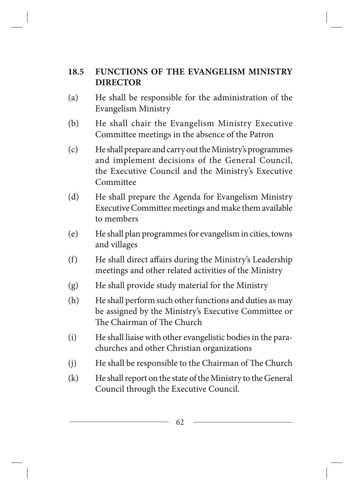### **18.5 FUNCTIONS OF THE EVANGELISM MINISTRY DIRECTOR**

- (a) He shall be responsible for the administration of the Evangelism Ministry
- (b) He shall chair the Evangelism Ministry Executive Committee meetings in the absence of the Patron
- (c) He shall prepare and carry out the Ministry's programmes and implement decisions of the General Council, the Executive Council and the Ministry's Executive Committee
- (d) He shall prepare the Agenda for Evangelism Ministry Executive Committee meetings and make them available to members
- (e) He shall plan programmes for evangelism in cities, towns and villages
- (f) He shall direct affairs during the Ministry's Leadership meetings and other related activities of the Ministry
- (g) He shall provide study material for the Ministry
- (h) He shall perform such other functions and duties as may be assigned by the Ministry's Executive Committee or The Chairman of The Church
- (i) He shall liaise with other evangelistic bodies in the parachurches and other Christian organizations
- (j) He shall be responsible to the Chairman of The Church
- (k) He shall report on the state of the Ministry to the General Council through the Executive Council.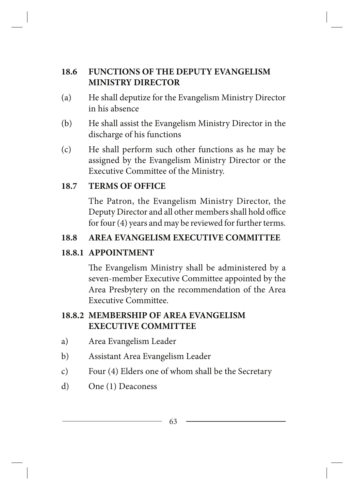# **18.6 FUNCTIONS OF THE DEPUTY EVANGELISM MINISTRY DIRECTOR**

- (a) He shall deputize for the Evangelism Ministry Director in his absence
- (b) He shall assist the Evangelism Ministry Director in the discharge of his functions
- (c) He shall perform such other functions as he may be assigned by the Evangelism Ministry Director or the Executive Committee of the Ministry.

#### **18.7 TERMS OF OFFICE**

The Patron, the Evangelism Ministry Director, the Deputy Director and all other members shall hold office for four (4) years and may be reviewed for further terms.

# **18.8 AREA EVANGELISM EXECUTIVE COMMITTEE**

# **18.8.1 APPOINTMENT**

The Evangelism Ministry shall be administered by a seven-member Executive Committee appointed by the Area Presbytery on the recommendation of the Area Executive Committee.

# **18.8.2 MEMBERSHIP OF AREA EVANGELISM EXECUTIVE COMMITTEE**

- a) Area Evangelism Leader
- b) Assistant Area Evangelism Leader
- c) Four (4) Elders one of whom shall be the Secretary
- d) One (1) Deaconess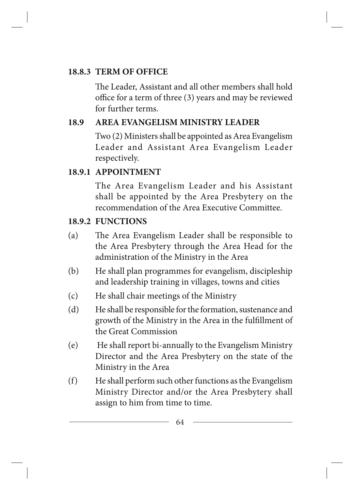### **18.8.3 TERM OF OFFICE**

The Leader, Assistant and all other members shall hold office for a term of three (3) years and may be reviewed for further terms.

# **18.9 AREA EVANGELISM MINISTRY LEADER**

Two (2) Ministers shall be appointed as Area Evangelism Leader and Assistant Area Evangelism Leader respectively.

# **18.9.1 APPOINTMENT**

The Area Evangelism Leader and his Assistant shall be appointed by the Area Presbytery on the recommendation of the Area Executive Committee.

# **18.9.2 FUNCTIONS**

- (a) The Area Evangelism Leader shall be responsible to the Area Presbytery through the Area Head for the administration of the Ministry in the Area
- (b) He shall plan programmes for evangelism, discipleship and leadership training in villages, towns and cities
- (c) He shall chair meetings of the Ministry
- (d) He shall be responsible for the formation, sustenance and growth of the Ministry in the Area in the fulfillment of the Great Commission
- (e) He shall report bi-annually to the Evangelism Ministry Director and the Area Presbytery on the state of the Ministry in the Area
- (f) He shall perform such other functions as the Evangelism Ministry Director and/or the Area Presbytery shall assign to him from time to time.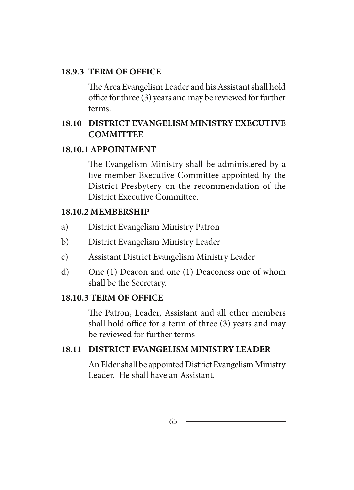#### **18.9.3 TERM OF OFFICE**

The Area Evangelism Leader and his Assistant shall hold office for three (3) years and may be reviewed for further terms.

#### **18.10 DISTRICT EVANGELISM MINISTRY EXECUTIVE COMMITTEE**

#### **18.10.1 APPOINTMENT**

The Evangelism Ministry shall be administered by a five-member Executive Committee appointed by the District Presbytery on the recommendation of the District Executive Committee.

#### **18.10.2 MEMBERSHIP**

- a) District Evangelism Ministry Patron
- b) District Evangelism Ministry Leader
- c) Assistant District Evangelism Ministry Leader
- d) One (1) Deacon and one (1) Deaconess one of whom shall be the Secretary.

#### **18.10.3 TERM OF OFFICE**

The Patron, Leader, Assistant and all other members shall hold office for a term of three (3) years and may be reviewed for further terms

#### **18.11 DISTRICT EVANGELISM MINISTRY LEADER**

An Elder shall be appointed District Evangelism Ministry Leader. He shall have an Assistant.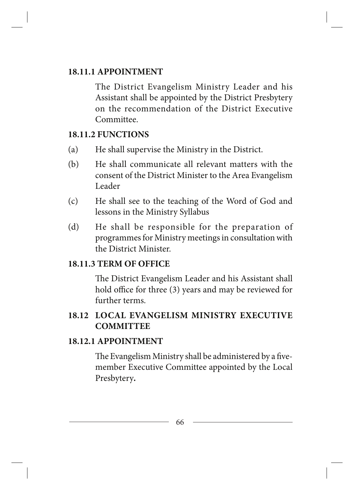#### **18.11.1 APPOINTMENT**

The District Evangelism Ministry Leader and his Assistant shall be appointed by the District Presbytery on the recommendation of the District Executive Committee.

#### **18.11.2 FUNCTIONS**

- (a) He shall supervise the Ministry in the District.
- (b) He shall communicate all relevant matters with the consent of the District Minister to the Area Evangelism Leader
- (c) He shall see to the teaching of the Word of God and lessons in the Ministry Syllabus
- (d) He shall be responsible for the preparation of programmes for Ministry meetings in consultation with the District Minister.

#### **18.11.3 TERM OF OFFICE**

The District Evangelism Leader and his Assistant shall hold office for three (3) years and may be reviewed for further terms.

# **18.12 LOCAL EVANGELISM MINISTRY EXECUTIVE COMMITTEE**

#### **18.12.1 APPOINTMENT**

The Evangelism Ministry shall be administered by a fivemember Executive Committee appointed by the Local Presbytery*.*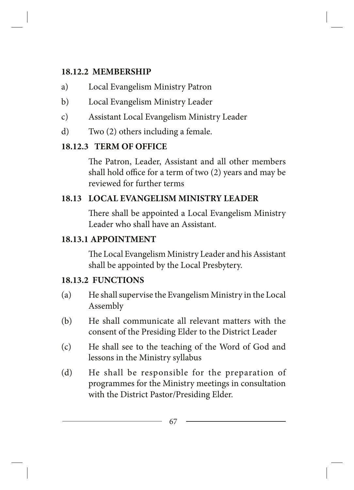### **18.12.2 MEMBERSHIP**

- a) Local Evangelism Ministry Patron
- b) Local Evangelism Ministry Leader
- c) Assistant Local Evangelism Ministry Leader
- d) Two (2) others including a female.

# **18.12.3 TERM OF OFFICE**

The Patron, Leader, Assistant and all other members shall hold office for a term of two (2) years and may be reviewed for further terms

# **18.13 LOCAL EVANGELISM MINISTRY LEADER**

There shall be appointed a Local Evangelism Ministry Leader who shall have an Assistant.

# **18.13.1 APPOINTMENT**

The Local Evangelism Ministry Leader and his Assistant shall be appointed by the Local Presbytery.

# **18.13.2 FUNCTIONS**

- (a) He shall supervise the Evangelism Ministry in the Local Assembly
- (b) He shall communicate all relevant matters with the consent of the Presiding Elder to the District Leader
- (c) He shall see to the teaching of the Word of God and lessons in the Ministry syllabus
- (d) He shall be responsible for the preparation of programmes for the Ministry meetings in consultation with the District Pastor/Presiding Elder.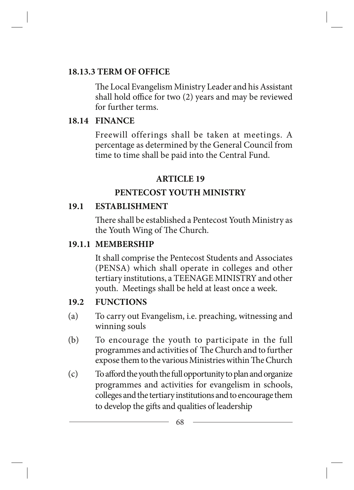#### **18.13.3 TERM OF OFFICE**

The Local Evangelism Ministry Leader and his Assistant shall hold office for two (2) years and may be reviewed for further terms.

#### **18.14 FINANCE**

Freewill offerings shall be taken at meetings. A percentage as determined by the General Council from time to time shall be paid into the Central Fund.

# **ARTICLE 19**

# **PENTECOST YOUTH MINISTRY**

#### **19.1 ESTABLISHMENT**

There shall be established a Pentecost Youth Ministry as the Youth Wing of The Church.

# **19.1.1 MEMBERSHIP**

It shall comprise the Pentecost Students and Associates (PENSA) which shall operate in colleges and other tertiary institutions, a TEENAGE MINISTRY and other youth. Meetings shall be held at least once a week.

# **19.2 FUNCTIONS**

- (a) To carry out Evangelism, i.e. preaching, witnessing and winning souls
- (b) To encourage the youth to participate in the full programmes and activities of The Church and to further expose them to the various Ministries within The Church
- (c) To afford the youth the full opportunity to plan and organize programmes and activities for evangelism in schools, colleges and the tertiary institutions and to encourage them to develop the gifts and qualities of leadership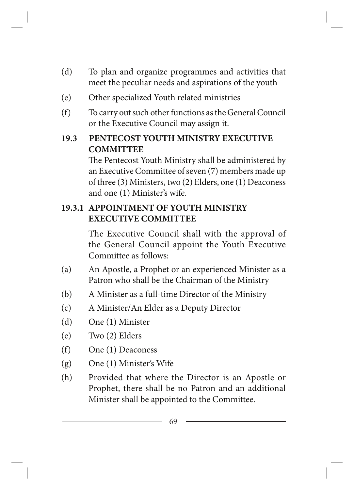- (d) To plan and organize programmes and activities that meet the peculiar needs and aspirations of the youth
- (e) Other specialized Youth related ministries
- (f) To carry out such other functions as the General Council or the Executive Council may assign it.

# **19.3 PENTECOST YOUTH MINISTRY EXECUTIVE COMMITTEE**

The Pentecost Youth Ministry shall be administered by an Executive Committee of seven (7) members made up of three (3) Ministers, two (2) Elders, one (1) Deaconess and one (1) Minister's wife.

# **19.3.1 APPOINTMENT OF YOUTH MINISTRY EXECUTIVE COMMITTEE**

The Executive Council shall with the approval of the General Council appoint the Youth Executive Committee as follows:

- (a) An Apostle, a Prophet or an experienced Minister as a Patron who shall be the Chairman of the Ministry
- (b) A Minister as a full-time Director of the Ministry
- (c) A Minister/An Elder as a Deputy Director
- (d) One (1) Minister
- (e) Two (2) Elders
- (f) One (1) Deaconess
- (g) One (1) Minister's Wife
- (h) Provided that where the Director is an Apostle or Prophet, there shall be no Patron and an additional Minister shall be appointed to the Committee.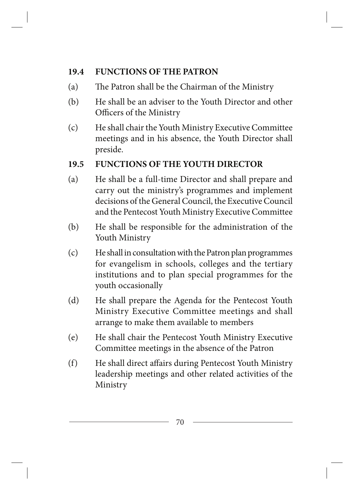### **19.4 FUNCTIONS OF THE PATRON**

- (a) The Patron shall be the Chairman of the Ministry
- (b) He shall be an adviser to the Youth Director and other Officers of the Ministry
- (c) He shall chair the Youth Ministry Executive Committee meetings and in his absence, the Youth Director shall preside.

#### **19.5 FUNCTIONS OF THE YOUTH DIRECTOR**

- (a) He shall be a full-time Director and shall prepare and carry out the ministry's programmes and implement decisions of the General Council, the Executive Council and the Pentecost Youth Ministry Executive Committee
- (b) He shall be responsible for the administration of the Youth Ministry
- (c) He shall in consultation with the Patron plan programmes for evangelism in schools, colleges and the tertiary institutions and to plan special programmes for the youth occasionally
- (d) He shall prepare the Agenda for the Pentecost Youth Ministry Executive Committee meetings and shall arrange to make them available to members
- (e) He shall chair the Pentecost Youth Ministry Executive Committee meetings in the absence of the Patron
- (f) He shall direct affairs during Pentecost Youth Ministry leadership meetings and other related activities of the Ministry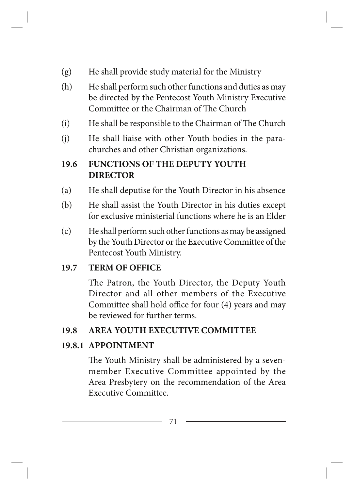- (g) He shall provide study material for the Ministry
- (h) He shall perform such other functions and duties as may be directed by the Pentecost Youth Ministry Executive Committee or the Chairman of The Church
- (i) He shall be responsible to the Chairman of The Church
- (j) He shall liaise with other Youth bodies in the parachurches and other Christian organizations.

# **19.6 FUNCTIONS OF THE DEPUTY YOUTH DIRECTOR**

- (a) He shall deputise for the Youth Director in his absence
- (b) He shall assist the Youth Director in his duties except for exclusive ministerial functions where he is an Elder
- (c) He shall perform such other functions as may be assigned by the Youth Director or the Executive Committee of the Pentecost Youth Ministry.

# **19.7 TERM OF OFFICE**

The Patron, the Youth Director, the Deputy Youth Director and all other members of the Executive Committee shall hold office for four (4) years and may be reviewed for further terms.

# **19.8 AREA YOUTH EXECUTIVE COMMITTEE**

# **19.8.1 APPOINTMENT**

The Youth Ministry shall be administered by a sevenmember Executive Committee appointed by the Area Presbytery on the recommendation of the Area Executive Committee.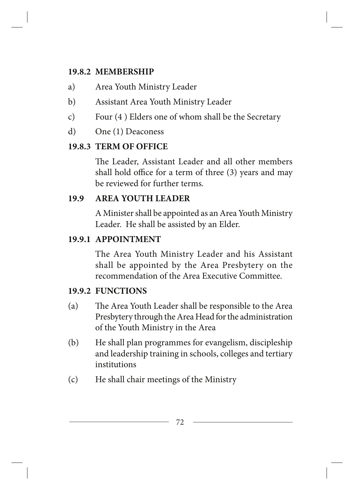#### **19.8.2 MEMBERSHIP**

- a) Area Youth Ministry Leader
- b) Assistant Area Youth Ministry Leader
- c) Four (4 ) Elders one of whom shall be the Secretary
- d) One (1) Deaconess

# **19.8.3 TERM OF OFFICE**

The Leader, Assistant Leader and all other members shall hold office for a term of three (3) years and may be reviewed for further terms.

# **19.9 AREA YOUTH LEADER**

A Minister shall be appointed as an Area Youth Ministry Leader. He shall be assisted by an Elder.

# **19.9.1 APPOINTMENT**

The Area Youth Ministry Leader and his Assistant shall be appointed by the Area Presbytery on the recommendation of the Area Executive Committee.

# **19.9.2 FUNCTIONS**

- (a) The Area Youth Leader shall be responsible to the Area Presbytery through the Area Head for the administration of the Youth Ministry in the Area
- (b) He shall plan programmes for evangelism, discipleship and leadership training in schools, colleges and tertiary institutions
- (c) He shall chair meetings of the Ministry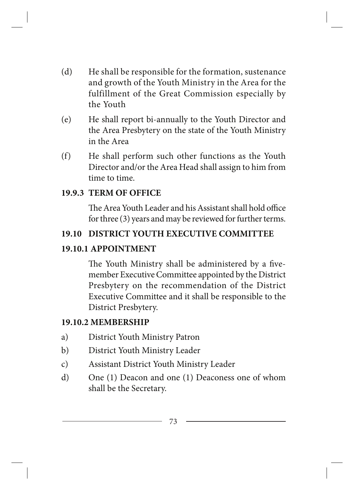- (d) He shall be responsible for the formation, sustenance and growth of the Youth Ministry in the Area for the fulfillment of the Great Commission especially by the Youth
- (e) He shall report bi-annually to the Youth Director and the Area Presbytery on the state of the Youth Ministry in the Area
- (f) He shall perform such other functions as the Youth Director and/or the Area Head shall assign to him from time to time.

#### **19.9.3 TERM OF OFFICE**

The Area Youth Leader and his Assistant shall hold office for three (3) years and may be reviewed for further terms.

#### **19.10 DISTRICT YOUTH EXECUTIVE COMMITTEE**

#### **19.10.1 APPOINTMENT**

The Youth Ministry shall be administered by a fivemember Executive Committee appointed by the District Presbytery on the recommendation of the District Executive Committee and it shall be responsible to the District Presbytery.

#### **19.10.2 MEMBERSHIP**

- a) District Youth Ministry Patron
- b) District Youth Ministry Leader
- c) Assistant District Youth Ministry Leader
- d) One (1) Deacon and one (1) Deaconess one of whom shall be the Secretary.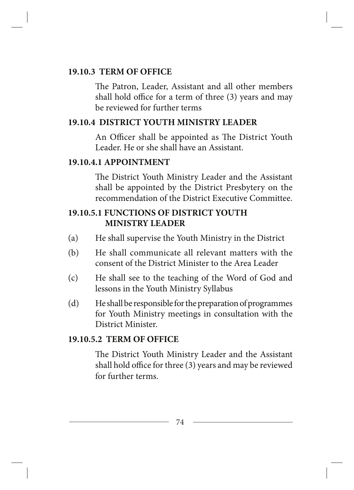#### **19.10.3 TERM OF OFFICE**

The Patron, Leader, Assistant and all other members shall hold office for a term of three (3) years and may be reviewed for further terms

### **19.10.4 DISTRICT YOUTH MINISTRY LEADER**

An Officer shall be appointed as The District Youth Leader. He or she shall have an Assistant.

### **19.10.4.1 APPOINTMENT**

The District Youth Ministry Leader and the Assistant shall be appointed by the District Presbytery on the recommendation of the District Executive Committee.

### **19.10.5.1 FUNCTIONS OF DISTRICT YOUTH MINISTRY LEADER**

- (a) He shall supervise the Youth Ministry in the District
- (b) He shall communicate all relevant matters with the consent of the District Minister to the Area Leader
- (c) He shall see to the teaching of the Word of God and lessons in the Youth Ministry Syllabus
- (d) He shall be responsible for the preparation of programmes for Youth Ministry meetings in consultation with the District Minister.

### **19.10.5.2 TERM OF OFFICE**

The District Youth Ministry Leader and the Assistant shall hold office for three (3) years and may be reviewed for further terms.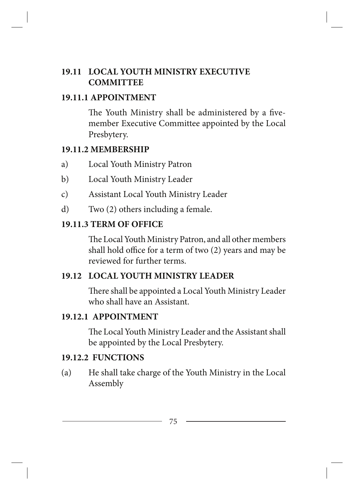## **19.11 LOCAL YOUTH MINISTRY EXECUTIVE COMMITTEE**

### **19.11.1 APPOINTMENT**

The Youth Ministry shall be administered by a fivemember Executive Committee appointed by the Local Presbytery.

## **19.11.2 MEMBERSHIP**

- a) Local Youth Ministry Patron
- b) Local Youth Ministry Leader
- c) Assistant Local Youth Ministry Leader
- d) Two (2) others including a female.

# **19.11.3 TERM OF OFFICE**

The Local Youth Ministry Patron, and all other members shall hold office for a term of two (2) years and may be reviewed for further terms.

# **19.12 LOCAL YOUTH MINISTRY LEADER**

There shall be appointed a Local Youth Ministry Leader who shall have an Assistant.

## **19.12.1 APPOINTMENT**

The Local Youth Ministry Leader and the Assistant shall be appointed by the Local Presbytery.

## **19.12.2 FUNCTIONS**

(a) He shall take charge of the Youth Ministry in the Local Assembly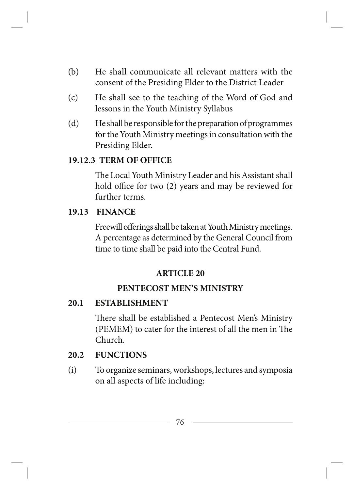- (b) He shall communicate all relevant matters with the consent of the Presiding Elder to the District Leader
- (c) He shall see to the teaching of the Word of God and lessons in the Youth Ministry Syllabus
- (d) He shall be responsible for the preparation of programmes for the Youth Ministry meetings in consultation with the Presiding Elder.

#### **19.12.3 TERM OF OFFICE**

The Local Youth Ministry Leader and his Assistant shall hold office for two (2) years and may be reviewed for further terms.

#### **19.13 FINANCE**

Freewill offerings shall be taken at Youth Ministry meetings. A percentage as determined by the General Council from time to time shall be paid into the Central Fund.

#### **ARTICLE 20**

#### **PENTECOST MEN'S MINISTRY**

#### **20.1 ESTABLISHMENT**

There shall be established a Pentecost Men's Ministry (PEMEM) to cater for the interest of all the men in The Church.

#### **20.2 FUNCTIONS**

(i) To organize seminars, workshops, lectures and symposia on all aspects of life including: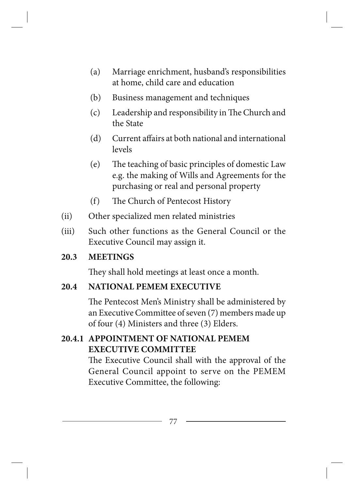- (a) Marriage enrichment, husband's responsibilities at home, child care and education
- (b) Business management and techniques
- (c) Leadership and responsibility in The Church and the State
- (d) Current affairs at both national and international levels
- (e) The teaching of basic principles of domestic Law e.g. the making of Wills and Agreements for the purchasing or real and personal property
- (f) The Church of Pentecost History
- (ii) Other specialized men related ministries
- (iii) Such other functions as the General Council or the Executive Council may assign it.

## **20.3 MEETINGS**

They shall hold meetings at least once a month.

# **20.4 NATIONAL PEMEM EXECUTIVE**

The Pentecost Men's Ministry shall be administered by an Executive Committee of seven (7) members made up of four (4) Ministers and three (3) Elders.

# **20.4.1 APPOINTMENT OF NATIONAL PEMEM EXECUTIVE COMMITTEE**

The Executive Council shall with the approval of the General Council appoint to serve on the PEMEM Executive Committee, the following: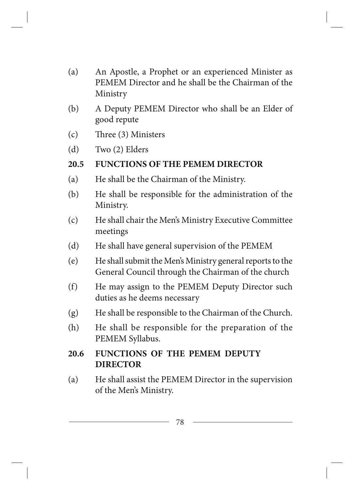- (a) An Apostle, a Prophet or an experienced Minister as PEMEM Director and he shall be the Chairman of the Ministry
- (b) A Deputy PEMEM Director who shall be an Elder of good repute
- (c) Three (3) Ministers
- (d) Two (2) Elders

#### **20.5 FUNCTIONS OF THE PEMEM DIRECTOR**

- (a) He shall be the Chairman of the Ministry.
- (b) He shall be responsible for the administration of the Ministry.
- (c) He shall chair the Men's Ministry Executive Committee meetings
- (d) He shall have general supervision of the PEMEM
- (e) He shall submit the Men's Ministry general reports to the General Council through the Chairman of the church
- (f) He may assign to the PEMEM Deputy Director such duties as he deems necessary
- (g) He shall be responsible to the Chairman of the Church.
- (h) He shall be responsible for the preparation of the PEMEM Syllabus.
- **20.6 FUNCTIONS OF THE PEMEM DEPUTY DIRECTOR**
- (a) He shall assist the PEMEM Director in the supervision of the Men's Ministry.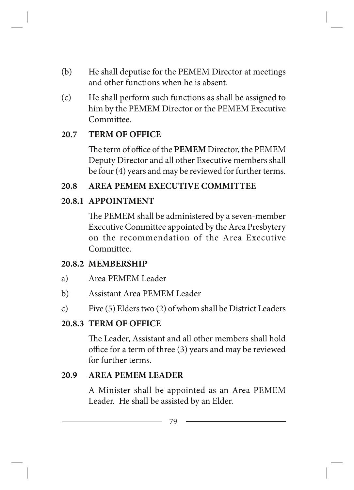- (b) He shall deputise for the PEMEM Director at meetings and other functions when he is absent.
- (c) He shall perform such functions as shall be assigned to him by the PEMEM Director or the PEMEM Executive Committee.

### **20.7 TERM OF OFFICE**

The term of office of the **PEMEM** Director, the PEMEM Deputy Director and all other Executive members shall be four (4) years and may be reviewed for further terms.

### **20.8 AREA PEMEM EXECUTIVE COMMITTEE**

## **20.8.1 APPOINTMENT**

The PEMEM shall be administered by a seven-member Executive Committee appointed by the Area Presbytery on the recommendation of the Area Executive Committee.

### **20.8.2 MEMBERSHIP**

- a) Area PEMEM Leader
- b) Assistant Area PEMEM Leader
- c) Five (5) Elders two (2) of whom shall be District Leaders

## **20.8.3 TERM OF OFFICE**

The Leader, Assistant and all other members shall hold office for a term of three (3) years and may be reviewed for further terms.

### **20.9 AREA PEMEM LEADER**

A Minister shall be appointed as an Area PEMEM Leader. He shall be assisted by an Elder.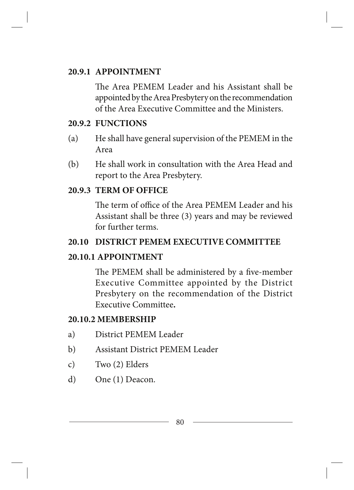#### **20.9.1 APPOINTMENT**

The Area PEMEM Leader and his Assistant shall be appointed by the Area Presbytery on the recommendation of the Area Executive Committee and the Ministers.

#### **20.9.2 FUNCTIONS**

- (a) He shall have general supervision of the PEMEM in the Area
- (b) He shall work in consultation with the Area Head and report to the Area Presbytery.

#### **20.9.3 TERM OF OFFICE**

The term of office of the Area PEMEM Leader and his Assistant shall be three (3) years and may be reviewed for further terms.

#### **20.10 DISTRICT PEMEM EXECUTIVE COMMITTEE**

#### **20.10.1 APPOINTMENT**

The PEMEM shall be administered by a five-member Executive Committee appointed by the District Presbytery on the recommendation of the District Executive Committee**.**

#### **20.10.2 MEMBERSHIP**

- a) District PEMEM Leader
- b) Assistant District PEMEM Leader
- c) Two (2) Elders
- d) One (1) Deacon.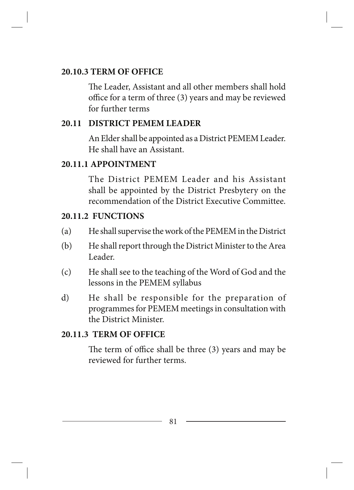#### **20.10.3 TERM OF OFFICE**

The Leader, Assistant and all other members shall hold office for a term of three (3) years and may be reviewed for further terms

## **20.11 DISTRICT PEMEM LEADER**

An Elder shall be appointed as a District PEMEM Leader. He shall have an Assistant.

### **20.11.1 APPOINTMENT**

The District PEMEM Leader and his Assistant shall be appointed by the District Presbytery on the recommendation of the District Executive Committee.

### **20.11.2 FUNCTIONS**

- (a) He shall supervise the work of the PEMEM in the District
- (b) He shall report through the District Minister to the Area Leader.
- (c) He shall see to the teaching of the Word of God and the lessons in the PEMEM syllabus
- d) He shall be responsible for the preparation of programmes for PEMEM meetings in consultation with the District Minister.

## **20.11.3 TERM OF OFFICE**

The term of office shall be three (3) years and may be reviewed for further terms.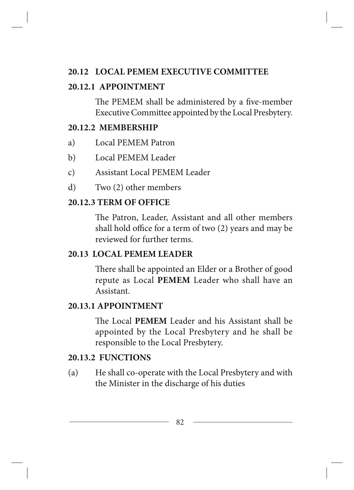#### **20.12 LOCAL PEMEM EXECUTIVE COMMITTEE**

#### **20.12.1 APPOINTMENT**

The PEMEM shall be administered by a five-member Executive Committee appointed by the Local Presbytery.

#### **20.12.2 MEMBERSHIP**

- a) Local PEMEM Patron
- b) Local PEMEM Leader
- c) Assistant Local PEMEM Leader
- d) Two (2) other members

## **20.12.3 TERM OF OFFICE**

The Patron, Leader, Assistant and all other members shall hold office for a term of two (2) years and may be reviewed for further terms.

### **20.13 LOCAL PEMEM LEADER**

There shall be appointed an Elder or a Brother of good repute as Local **PEMEM** Leader who shall have an Assistant.

### **20.13.1 APPOINTMENT**

The Local **PEMEM** Leader and his Assistant shall be appointed by the Local Presbytery and he shall be responsible to the Local Presbytery.

### **20.13.2 FUNCTIONS**

(a) He shall co-operate with the Local Presbytery and with the Minister in the discharge of his duties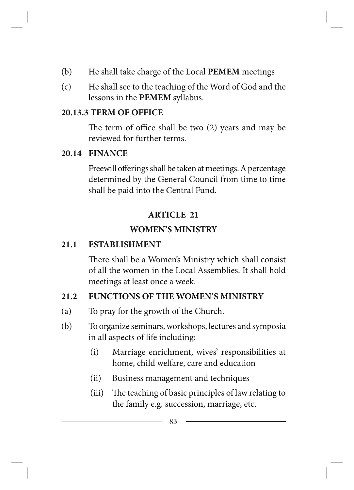- (b) He shall take charge of the Local **PEMEM** meetings
- (c) He shall see to the teaching of the Word of God and the lessons in the **PEMEM** syllabus.

## **20.13.3 TERM OF OFFICE**

The term of office shall be two (2) years and may be reviewed for further terms.

## **20.14 FINANCE**

Freewill offerings shall be taken at meetings. A percentage determined by the General Council from time to time shall be paid into the Central Fund.

# **ARTICLE 21**

# **WOMEN'S MINISTRY**

# **21.1 ESTABLISHMENT**

There shall be a Women's Ministry which shall consist of all the women in the Local Assemblies. It shall hold meetings at least once a week.

# **21.2 FUNCTIONS OF THE WOMEN'S MINISTRY**

- (a) To pray for the growth of the Church.
- (b) To organize seminars, workshops, lectures and symposia in all aspects of life including:
	- (i) Marriage enrichment, wives' responsibilities at home, child welfare, care and education
	- (ii) Business management and techniques
	- (iii) The teaching of basic principles of law relating to the family e.g. succession, marriage, etc.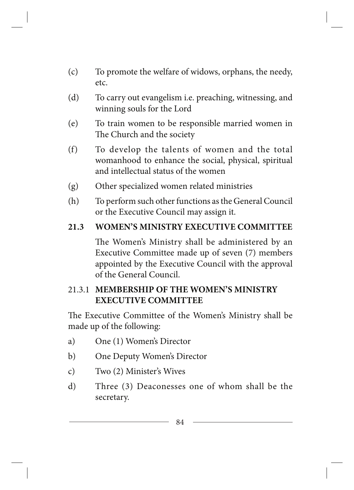- (c) To promote the welfare of widows, orphans, the needy, etc.
- (d) To carry out evangelism i.e. preaching, witnessing, and winning souls for the Lord
- (e) To train women to be responsible married women in The Church and the society
- (f) To develop the talents of women and the total womanhood to enhance the social, physical, spiritual and intellectual status of the women
- (g) Other specialized women related ministries
- (h) To perform such other functions as the General Council or the Executive Council may assign it.

## **21.3 WOMEN'S MINISTRY EXECUTIVE COMMITTEE**

The Women's Ministry shall be administered by an Executive Committee made up of seven (7) members appointed by the Executive Council with the approval of the General Council.

## 21.3.1 **MEMBERSHIP OF THE WOMEN'S MINISTRY EXECUTIVE COMMITTEE**

The Executive Committee of the Women's Ministry shall be made up of the following:

- a) One (1) Women's Director
- b) One Deputy Women's Director
- c) Two (2) Minister's Wives
- d) Three (3) Deaconesses one of whom shall be the secretary.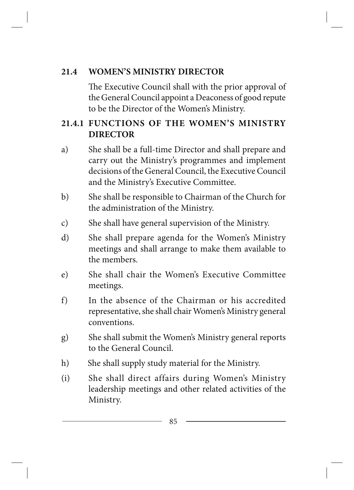## **21.4 WOMEN'S MINISTRY DIRECTOR**

The Executive Council shall with the prior approval of the General Council appoint a Deaconess of good repute to be the Director of the Women's Ministry.

# **21.4.1 FUNCTIONS OF THE WOMEN'S MINISTRY DIRECTOR**

- a) She shall be a full-time Director and shall prepare and carry out the Ministry's programmes and implement decisions of the General Council, the Executive Council and the Ministry's Executive Committee.
- b) She shall be responsible to Chairman of the Church for the administration of the Ministry.
- c) She shall have general supervision of the Ministry.
- d) She shall prepare agenda for the Women's Ministry meetings and shall arrange to make them available to the members.
- e) She shall chair the Women's Executive Committee meetings.
- f) In the absence of the Chairman or his accredited representative, she shall chair Women's Ministry general conventions.
- g) She shall submit the Women's Ministry general reports to the General Council.
- h) She shall supply study material for the Ministry.
- (i) She shall direct affairs during Women's Ministry leadership meetings and other related activities of the Ministry.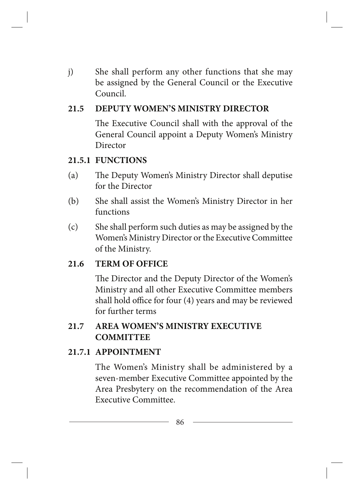j) She shall perform any other functions that she may be assigned by the General Council or the Executive Council.

### **21.5 DEPUTY WOMEN'S MINISTRY DIRECTOR**

The Executive Council shall with the approval of the General Council appoint a Deputy Women's Ministry Director

### **21.5.1 FUNCTIONS**

- (a) The Deputy Women's Ministry Director shall deputise for the Director
- (b) She shall assist the Women's Ministry Director in her functions
- (c) She shall perform such duties as may be assigned by the Women's Ministry Director or the Executive Committee of the Ministry.

## **21.6 TERM OF OFFICE**

The Director and the Deputy Director of the Women's Ministry and all other Executive Committee members shall hold office for four (4) years and may be reviewed for further terms

## **21.7 AREA WOMEN'S MINISTRY EXECUTIVE COMMITTEE**

### **21.7.1 APPOINTMENT**

The Women's Ministry shall be administered by a seven-member Executive Committee appointed by the Area Presbytery on the recommendation of the Area Executive Committee.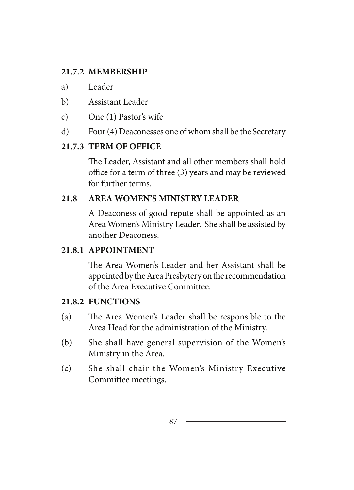## **21.7.2 MEMBERSHIP**

- a) Leader
- b) Assistant Leader
- c) One (1) Pastor's wife
- d) Four (4) Deaconesses one of whom shall be the Secretary

# **21.7.3 TERM OF OFFICE**

The Leader, Assistant and all other members shall hold office for a term of three (3) years and may be reviewed for further terms.

## **21.8 AREA WOMEN'S MINISTRY LEADER**

A Deaconess of good repute shall be appointed as an Area Women's Ministry Leader. She shall be assisted by another Deaconess.

# **21.8.1 APPOINTMENT**

The Area Women's Leader and her Assistant shall be appointed by the Area Presbytery on the recommendation of the Area Executive Committee.

## **21.8.2 FUNCTIONS**

- (a) The Area Women's Leader shall be responsible to the Area Head for the administration of the Ministry.
- (b) She shall have general supervision of the Women's Ministry in the Area.
- (c) She shall chair the Women's Ministry Executive Committee meetings.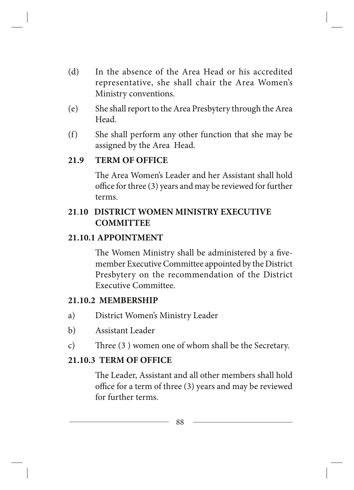- (d) In the absence of the Area Head or his accredited representative, she shall chair the Area Women's Ministry conventions.
- (e) She shall report to the Area Presbytery through the Area Head.
- (f) She shall perform any other function that she may be assigned by the Area Head.

### **21.9 TERM OF OFFICE**

The Area Women's Leader and her Assistant shall hold office for three (3) years and may be reviewed for further terms.

## **21**.**10 DISTRICT WOMEN MINISTRY EXECUTIVE COMMITTEE**

#### **21.10.1 APPOINTMENT**

The Women Ministry shall be administered by a fivemember Executive Committee appointed by the District Presbytery on the recommendation of the District Executive Committee.

#### **21.10.2 MEMBERSHIP**

- a) District Women's Ministry Leader
- b) Assistant Leader
- c) Three (3 ) women one of whom shall be the Secretary.

#### **21.10.3 TERM OF OFFICE**

The Leader, Assistant and all other members shall hold office for a term of three (3) years and may be reviewed for further terms.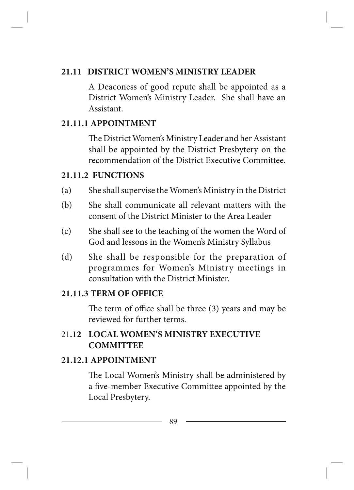### **21.11 DISTRICT WOMEN'S MINISTRY LEADER**

A Deaconess of good repute shall be appointed as a District Women's Ministry Leader. She shall have an Assistant.

## **21.11.1 APPOINTMENT**

The District Women's Ministry Leader and her Assistant shall be appointed by the District Presbytery on the recommendation of the District Executive Committee.

## **21.11.2 FUNCTIONS**

- (a) She shall supervise the Women's Ministry in the District
- (b) She shall communicate all relevant matters with the consent of the District Minister to the Area Leader
- (c) She shall see to the teaching of the women the Word of God and lessons in the Women's Ministry Syllabus
- (d) She shall be responsible for the preparation of programmes for Women's Ministry meetings in consultation with the District Minister.

## **21.11.3 TERM OF OFFICE**

The term of office shall be three (3) years and may be reviewed for further terms.

# 21**.12 LOCAL WOMEN'S MINISTRY EXECUTIVE COMMITTEE**

## **21.12.1 APPOINTMENT**

The Local Women's Ministry shall be administered by a five-member Executive Committee appointed by the Local Presbytery.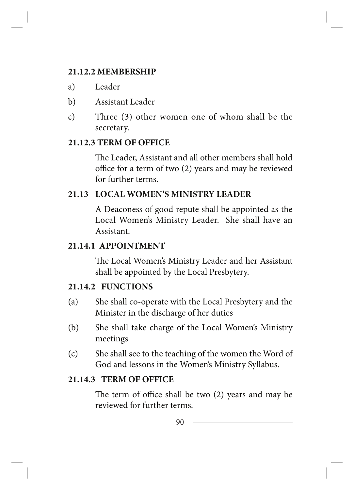### **21.12.2 MEMBERSHIP**

- a) Leader
- b) Assistant Leader
- c) Three (3) other women one of whom shall be the secretary.

# **21.12.3 TERM OF OFFICE**

The Leader, Assistant and all other members shall hold office for a term of two (2) years and may be reviewed for further terms.

# **21.13 LOCAL WOMEN'S MINISTRY LEADER**

A Deaconess of good repute shall be appointed as the Local Women's Ministry Leader. She shall have an Assistant.

## **21.14.1 APPOINTMENT**

The Local Women's Ministry Leader and her Assistant shall be appointed by the Local Presbytery.

# **21.14.2 FUNCTIONS**

- (a) She shall co-operate with the Local Presbytery and the Minister in the discharge of her duties
- (b) She shall take charge of the Local Women's Ministry meetings
- (c) She shall see to the teaching of the women the Word of God and lessons in the Women's Ministry Syllabus.

## **21.14.3 TERM OF OFFICE**

The term of office shall be two (2) years and may be reviewed for further terms.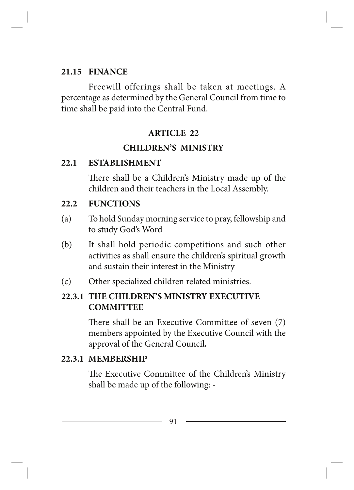#### **21.15 FINANCE**

Freewill offerings shall be taken at meetings. A percentage as determined by the General Council from time to time shall be paid into the Central Fund.

### **ARTICLE 22**

## **CHILDREN'S MINISTRY**

### **22.1 ESTABLISHMENT**

There shall be a Children's Ministry made up of the children and their teachers in the Local Assembly.

### **22.2 FUNCTIONS**

- (a) To hold Sunday morning service to pray, fellowship and to study God's Word
- (b) It shall hold periodic competitions and such other activities as shall ensure the children's spiritual growth and sustain their interest in the Ministry
- (c) Other specialized children related ministries.

# **22.3.1 THE CHILDREN'S MINISTRY EXECUTIVE COMMITTEE**

There shall be an Executive Committee of seven (7) members appointed by the Executive Council with the approval of the General Council*.*

### **22.3.1 MEMBERSHIP**

The Executive Committee of the Children's Ministry shall be made up of the following: -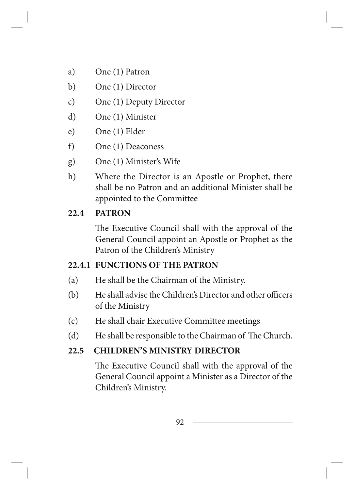- a) One (1) Patron
- b) One (1) Director
- c) One (1) Deputy Director
- d) One (1) Minister
- e) One (1) Elder
- f) One (1) Deaconess
- g) One (1) Minister's Wife
- h) Where the Director is an Apostle or Prophet, there shall be no Patron and an additional Minister shall be appointed to the Committee

## **22.4 PATRON**

The Executive Council shall with the approval of the General Council appoint an Apostle or Prophet as the Patron of the Children's Ministry

## **22.4.1 FUNCTIONS OF THE PATRON**

- (a) He shall be the Chairman of the Ministry.
- (b) He shall advise the Children's Director and other officers of the Ministry
- (c) He shall chair Executive Committee meetings
- (d) He shall be responsible to the Chairman of The Church.

# **22.5 CHILDREN'S MINISTRY DIRECTOR**

The Executive Council shall with the approval of the General Council appoint a Minister as a Director of the Children's Ministry.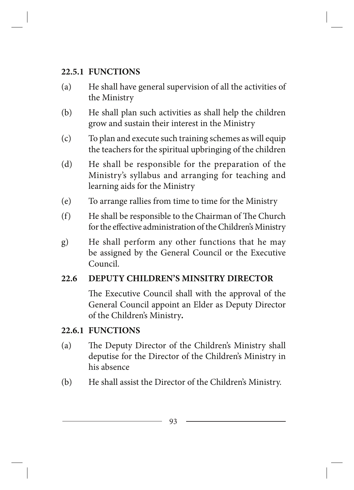## **22.5.1 FUNCTIONS**

- (a) He shall have general supervision of all the activities of the Ministry
- (b) He shall plan such activities as shall help the children grow and sustain their interest in the Ministry
- (c) To plan and execute such training schemes as will equip the teachers for the spiritual upbringing of the children
- (d) He shall be responsible for the preparation of the Ministry's syllabus and arranging for teaching and learning aids for the Ministry
- (e) To arrange rallies from time to time for the Ministry
- (f) He shall be responsible to the Chairman of The Church for the effective administration of the Children's Ministry
- g) He shall perform any other functions that he may be assigned by the General Council or the Executive Council.

## **22.6 DEPUTY CHILDREN'S MINSITRY DIRECTOR**

The Executive Council shall with the approval of the General Council appoint an Elder as Deputy Director of the Children's Ministry*.* 

### **22.6.1 FUNCTIONS**

- (a) The Deputy Director of the Children's Ministry shall deputise for the Director of the Children's Ministry in his absence
- (b) He shall assist the Director of the Children's Ministry.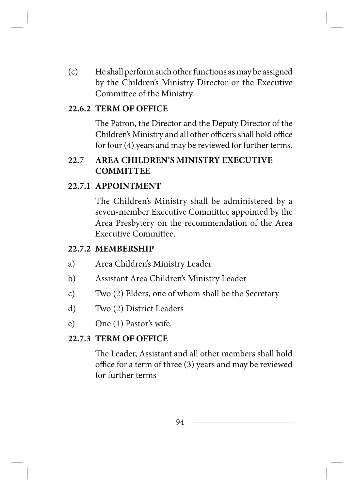(c) He shall perform such other functions as may be assigned by the Children's Ministry Director or the Executive Committee of the Ministry.

#### **22.6.2 TERM OF OFFICE**

The Patron, the Director and the Deputy Director of the Children's Ministry and all other officers shall hold office for four (4) years and may be reviewed for further terms.

### **22.7 AREA CHILDREN'S MINISTRY EXECUTIVE COMMITTEE**

#### **22.7.1 APPOINTMENT**

The Children's Ministry shall be administered by a seven-member Executive Committee appointed by the Area Presbytery on the recommendation of the Area Executive Committee.

#### **22.7.2 MEMBERSHIP**

- a) Area Children's Ministry Leader
- b) Assistant Area Children's Ministry Leader
- c) Two (2) Elders, one of whom shall be the Secretary
- d) Two (2) District Leaders
- e) One (1) Pastor's wife.

#### **22.7.3 TERM OF OFFICE**

The Leader, Assistant and all other members shall hold office for a term of three (3) years and may be reviewed for further terms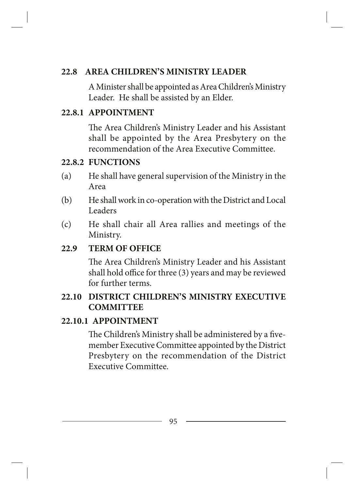## **22.8 AREA CHILDREN'S MINISTRY LEADER**

A Minister shall be appointed as Area Children's Ministry Leader. He shall be assisted by an Elder.

## **22.8.1 APPOINTMENT**

The Area Children's Ministry Leader and his Assistant shall be appointed by the Area Presbytery on the recommendation of the Area Executive Committee.

## **22.8.2 FUNCTIONS**

- (a) He shall have general supervision of the Ministry in the Area
- (b) He shall work in co-operation with the District and Local Leaders
- (c) He shall chair all Area rallies and meetings of the Ministry.

## **22.9 TERM OF OFFICE**

The Area Children's Ministry Leader and his Assistant shall hold office for three (3) years and may be reviewed for further terms.

## **22.10 DISTRICT CHILDREN'S MINISTRY EXECUTIVE COMMITTEE**

### **22.10.1 APPOINTMENT**

The Children's Ministry shall be administered by a fivemember Executive Committee appointed by the District Presbytery on the recommendation of the District Executive Committee.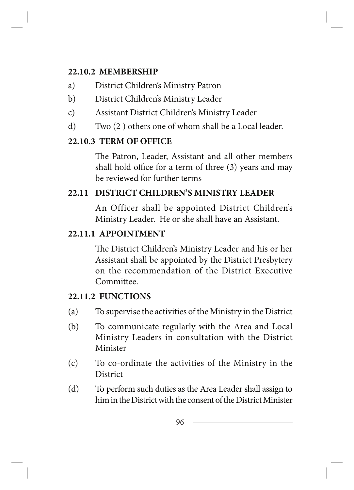## **22.10.2 MEMBERSHIP**

- a) District Children's Ministry Patron
- b) District Children's Ministry Leader
- c) Assistant District Children's Ministry Leader
- d) Two (2 ) others one of whom shall be a Local leader.

# **22.10.3 TERM OF OFFICE**

The Patron, Leader, Assistant and all other members shall hold office for a term of three (3) years and may be reviewed for further terms

# **22.11 DISTRICT CHILDREN'S MINISTRY LEADER**

An Officer shall be appointed District Children's Ministry Leader. He or she shall have an Assistant.

# **22.11.1 APPOINTMENT**

The District Children's Ministry Leader and his or her Assistant shall be appointed by the District Presbytery on the recommendation of the District Executive Committee.

# **22.11.2 FUNCTIONS**

- (a) To supervise the activities of the Ministry in the District
- (b) To communicate regularly with the Area and Local Ministry Leaders in consultation with the District Minister
- (c) To co-ordinate the activities of the Ministry in the District
- (d) To perform such duties as the Area Leader shall assign to him in the District with the consent of the District Minister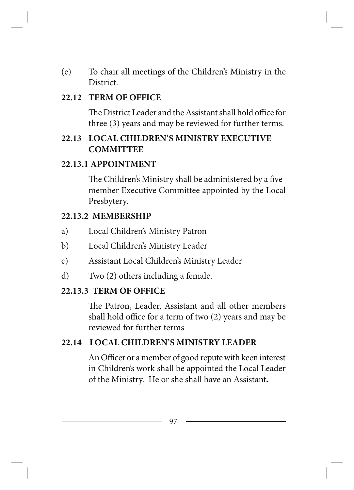(e) To chair all meetings of the Children's Ministry in the District.

### **22.12 TERM OF OFFICE**

The District Leader and the Assistant shall hold office for three (3) years and may be reviewed for further terms.

## **22.13 LOCAL CHILDREN'S MINISTRY EXECUTIVE COMMITTEE**

### **22.13.1 APPOINTMENT**

The Children's Ministry shall be administered by a fivemember Executive Committee appointed by the Local Presbytery.

#### **22.13.2 MEMBERSHIP**

- a) Local Children's Ministry Patron
- b) Local Children's Ministry Leader
- c) Assistant Local Children's Ministry Leader
- d) Two (2) others including a female.

#### **22.13.3 TERM OF OFFICE**

The Patron, Leader, Assistant and all other members shall hold office for a term of two (2) years and may be reviewed for further terms

### **22.14 LOCAL CHILDREN'S MINISTRY LEADER**

An Officer or a member of good repute with keen interest in Children's work shall be appointed the Local Leader of the Ministry. He or she shall have an Assistant*.*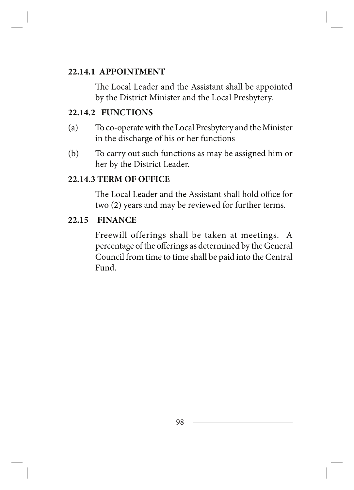#### **22.14.1 APPOINTMENT**

The Local Leader and the Assistant shall be appointed by the District Minister and the Local Presbytery.

### **22.14.2 FUNCTIONS**

- (a) To co-operate with the Local Presbytery and the Minister in the discharge of his or her functions
- (b) To carry out such functions as may be assigned him or her by the District Leader.

#### **22.14.3 TERM OF OFFICE**

The Local Leader and the Assistant shall hold office for two (2) years and may be reviewed for further terms.

#### **22.15 FINANCE**

Freewill offerings shall be taken at meetings. A percentage of the offerings as determined by the General Council from time to time shall be paid into the Central Fund.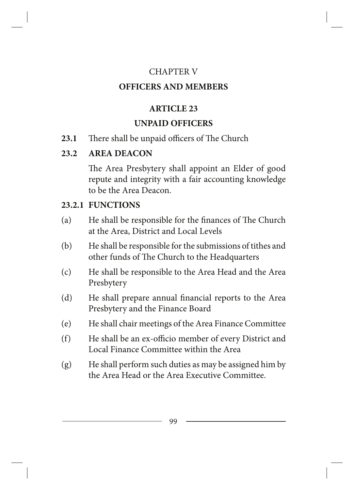### CHAPTER V

## **OFFICERS AND MEMBERS**

## **ARTICLE 23**

# **UNPAID OFFICERS**

## **23.1** There shall be unpaid officers of The Church

# **23.2 AREA DEACON**

The Area Presbytery shall appoint an Elder of good repute and integrity with a fair accounting knowledge to be the Area Deacon.

# **23.2.1 FUNCTIONS**

- (a) He shall be responsible for the finances of The Church at the Area, District and Local Levels
- (b) He shall be responsible for the submissions of tithes and other funds of The Church to the Headquarters
- (c) He shall be responsible to the Area Head and the Area Presbytery
- (d) He shall prepare annual financial reports to the Area Presbytery and the Finance Board
- (e) He shall chair meetings of the Area Finance Committee
- (f) He shall be an ex-officio member of every District and Local Finance Committee within the Area
- (g) He shall perform such duties as may be assigned him by the Area Head or the Area Executive Committee.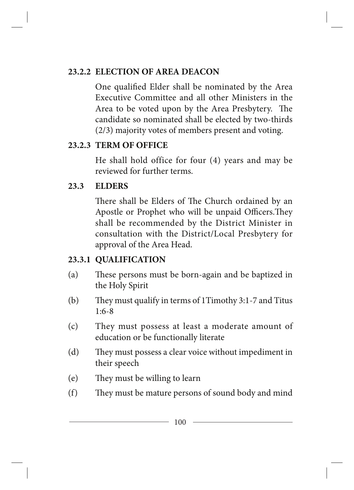## **23.2.2 ELECTION OF AREA DEACON**

One qualified Elder shall be nominated by the Area Executive Committee and all other Ministers in the Area to be voted upon by the Area Presbytery. The candidate so nominated shall be elected by two-thirds (2/3) majority votes of members present and voting.

### **23.2.3 TERM OF OFFICE**

He shall hold office for four (4) years and may be reviewed for further terms.

### **23.3 ELDERS**

There shall be Elders of The Church ordained by an Apostle or Prophet who will be unpaid Officers.They shall be recommended by the District Minister in consultation with the District/Local Presbytery for approval of the Area Head.

## **23.3.1 QUALIFICATION**

- (a) These persons must be born-again and be baptized in the Holy Spirit
- (b) They must qualify in terms of 1Timothy 3:1-7 and Titus 1:6-8
- (c) They must possess at least a moderate amount of education or be functionally literate
- (d) They must possess a clear voice without impediment in their speech
- (e) They must be willing to learn
- (f) They must be mature persons of sound body and mind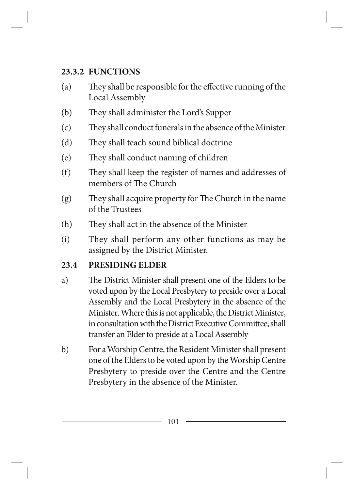## **23.3.2 FUNCTIONS**

- (a) They shall be responsible for the effective running of the Local Assembly
- (b) They shall administer the Lord's Supper
- (c) They shall conduct funerals in the absence of the Minister
- (d) They shall teach sound biblical doctrine
- (e) They shall conduct naming of children
- (f) They shall keep the register of names and addresses of members of The Church
- (g) They shall acquire property for The Church in the name of the Trustees
- (h) They shall act in the absence of the Minister
- (i) They shall perform any other functions as may be assigned by the District Minister.

# **23.4 PRESIDING ELDER**

- a) The District Minister shall present one of the Elders to be voted upon by the Local Presbytery to preside over a Local Assembly and the Local Presbytery in the absence of the Minister. Where this is not applicable, the District Minister, in consultation with the District Executive Committee, shall transfer an Elder to preside at a Local Assembly
- b) For a Worship Centre, the Resident Minister shall present one of the Elders to be voted upon by the Worship Centre Presbytery to preside over the Centre and the Centre Presbytery in the absence of the Minister.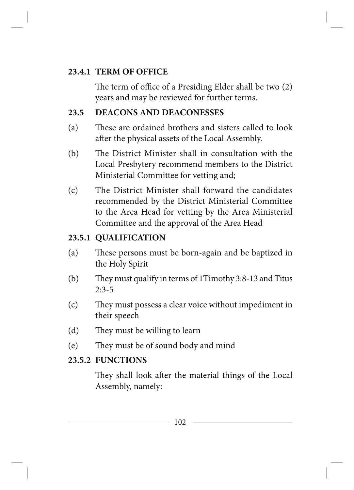## **23.4.1 TERM OF OFFICE**

The term of office of a Presiding Elder shall be two (2) years and may be reviewed for further terms.

# **23.5 DEACONS AND DEACONESSES**

- (a) These are ordained brothers and sisters called to look after the physical assets of the Local Assembly.
- (b) The District Minister shall in consultation with the Local Presbytery recommend members to the District Ministerial Committee for vetting and;
- (c) The District Minister shall forward the candidates recommended by the District Ministerial Committee to the Area Head for vetting by the Area Ministerial Committee and the approval of the Area Head

# **23.5.1 QUALIFICATION**

- (a) These persons must be born-again and be baptized in the Holy Spirit
- (b) They must qualify in terms of 1Timothy 3:8-13 and Titus 2:3-5
- (c) They must possess a clear voice without impediment in their speech
- (d) They must be willing to learn
- (e) They must be of sound body and mind

# **23.5.2 FUNCTIONS**

They shall look after the material things of the Local Assembly, namely: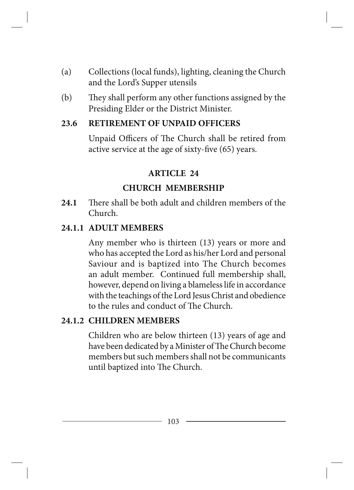- (a) Collections (local funds), lighting, cleaning the Church and the Lord's Supper utensils
- (b) They shall perform any other functions assigned by the Presiding Elder or the District Minister.

### **23.6 RETIREMENT OF UNPAID OFFICERS**

Unpaid Officers of The Church shall be retired from active service at the age of sixty-five (65) years.

## **ARTICLE 24**

## **CHURCH MEMBERSHIP**

**24.1** There shall be both adult and children members of the Church.

## **24.1.1 ADULT MEMBERS**

Any member who is thirteen (13) years or more and who has accepted the Lord as his/her Lord and personal Saviour and is baptized into The Church becomes an adult member. Continued full membership shall, however, depend on living a blameless life in accordance with the teachings of the Lord Jesus Christ and obedience to the rules and conduct of The Church.

### **24.1.2 CHILDREN MEMBERS**

Children who are below thirteen (13) years of age and have been dedicated by a Minister of The Church become members but such members shall not be communicants until baptized into The Church.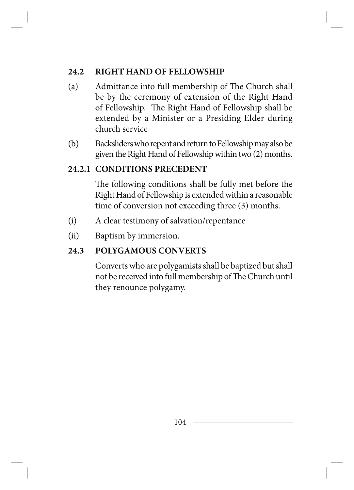### **24.2 RIGHT HAND OF FELLOWSHIP**

- (a) Admittance into full membership of The Church shall be by the ceremony of extension of the Right Hand of Fellowship. The Right Hand of Fellowship shall be extended by a Minister or a Presiding Elder during church service
- (b) Backsliders who repent and return to Fellowship may also be given the Right Hand of Fellowship within two (2) months.

## **24.2.1 CONDITIONS PRECEDENT**

The following conditions shall be fully met before the Right Hand of Fellowship is extended within a reasonable time of conversion not exceeding three (3) months.

- (i) A clear testimony of salvation/repentance
- (ii) Baptism by immersion.

## **24.3 POLYGAMOUS CONVERTS**

Converts who are polygamists shall be baptized but shall not be received into full membership of The Church until they renounce polygamy.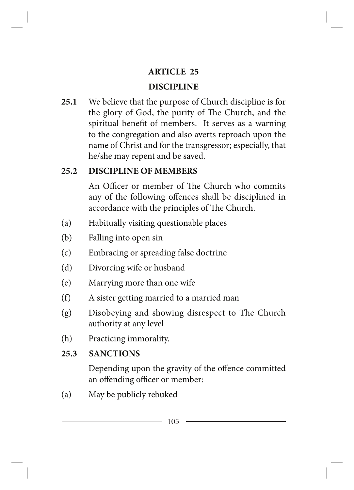# **ARTICLE 25**

# **DISCIPLINE**

**25.1** We believe that the purpose of Church discipline is for the glory of God, the purity of The Church, and the spiritual benefit of members. It serves as a warning to the congregation and also averts reproach upon the name of Christ and for the transgressor; especially, that he/she may repent and be saved.

# **25.2 DISCIPLINE OF MEMBERS**

An Officer or member of The Church who commits any of the following offences shall be disciplined in accordance with the principles of The Church.

- (a) Habitually visiting questionable places
- (b) Falling into open sin
- (c) Embracing or spreading false doctrine
- (d) Divorcing wife or husband
- (e) Marrying more than one wife
- (f) A sister getting married to a married man
- (g) Disobeying and showing disrespect to The Church authority at any level
- (h) Practicing immorality.

# **25.3 SANCTIONS**

Depending upon the gravity of the offence committed an offending officer or member:

(a) May be publicly rebuked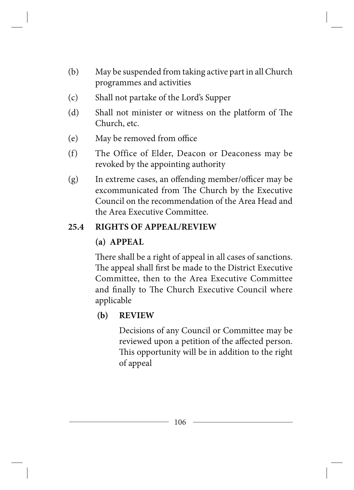- (b) May be suspended from taking active part in all Church programmes and activities
- (c) Shall not partake of the Lord's Supper
- (d) Shall not minister or witness on the platform of The Church, etc.
- (e) May be removed from office
- (f) The Office of Elder, Deacon or Deaconess may be revoked by the appointing authority
- (g) In extreme cases, an offending member/officer may be excommunicated from The Church by the Executive Council on the recommendation of the Area Head and the Area Executive Committee.

## **25.4 RIGHTS OF APPEAL/REVIEW**

## **(a) APPEAL**

There shall be a right of appeal in all cases of sanctions. The appeal shall first be made to the District Executive Committee, then to the Area Executive Committee and finally to The Church Executive Council where applicable

## **(b) REVIEW**

Decisions of any Council or Committee may be reviewed upon a petition of the affected person. This opportunity will be in addition to the right of appeal

106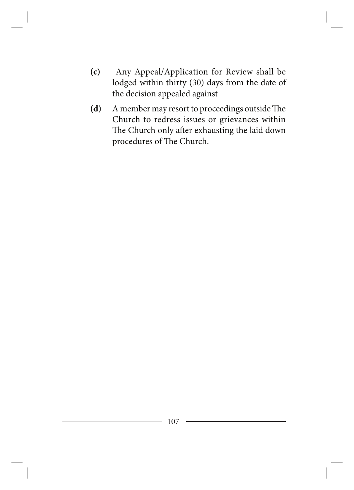- **(c)** Any Appeal/Application for Review shall be lodged within thirty (30) days from the date of the decision appealed against
- **(d)** A member may resort to proceedings outside The Church to redress issues or grievances within The Church only after exhausting the laid down procedures of The Church.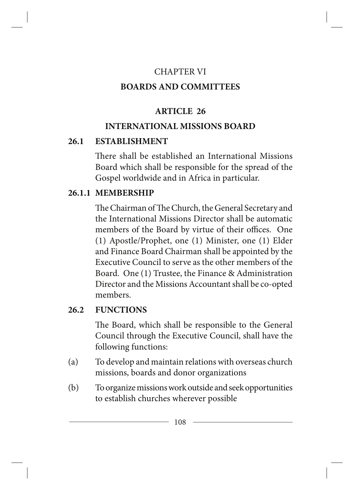## CHAPTER VI

## **BOARDS AND COMMITTEES**

## **ARTICLE 26**

## **INTERNATIONAL MISSIONS BOARD**

### **26.1 ESTABLISHMENT**

There shall be established an International Missions Board which shall be responsible for the spread of the Gospel worldwide and in Africa in particular.

## **26.1.1 MEMBERSHIP**

The Chairman of The Church, the General Secretary and the International Missions Director shall be automatic members of the Board by virtue of their offices. One (1) Apostle/Prophet, one (1) Minister, one (1) Elder and Finance Board Chairman shall be appointed by the Executive Council to serve as the other members of the Board. One (1) Trustee, the Finance & Administration Director and the Missions Accountant shall be co-opted members.

## **26.2 FUNCTIONS**

The Board, which shall be responsible to the General Council through the Executive Council, shall have the following functions:

- (a) To develop and maintain relations with overseas church missions, boards and donor organizations
- (b) To organize missions work outside and seek opportunities to establish churches wherever possible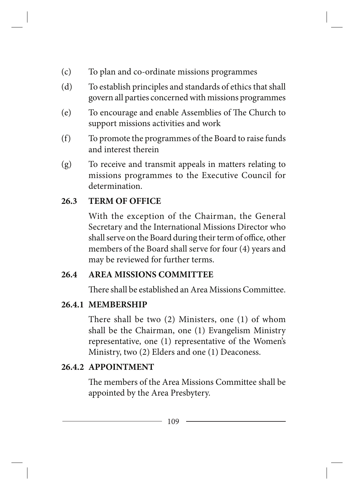- (c) To plan and co-ordinate missions programmes
- (d) To establish principles and standards of ethics that shall govern all parties concerned with missions programmes
- (e) To encourage and enable Assemblies of The Church to support missions activities and work
- (f) To promote the programmes of the Board to raise funds and interest therein
- (g) To receive and transmit appeals in matters relating to missions programmes to the Executive Council for determination.

## **26.3 TERM OF OFFICE**

With the exception of the Chairman, the General Secretary and the International Missions Director who shall serve on the Board during their term of office, other members of the Board shall serve for four (4) years and may be reviewed for further terms.

### **26.4 AREA MISSIONS COMMITTEE**

There shall be established an Area Missions Committee.

### **26.4.1 MEMBERSHIP**

There shall be two (2) Ministers, one (1) of whom shall be the Chairman, one (1) Evangelism Ministry representative, one (1) representative of the Women's Ministry, two (2) Elders and one (1) Deaconess.

### **26.4.2 APPOINTMENT**

The members of the Area Missions Committee shall be appointed by the Area Presbytery.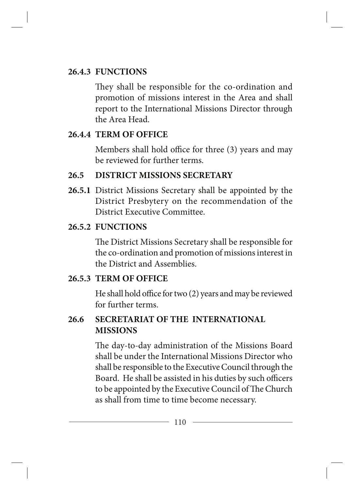### **26.4.3 FUNCTIONS**

They shall be responsible for the co-ordination and promotion of missions interest in the Area and shall report to the International Missions Director through the Area Head.

## **26.4.4 TERM OF OFFICE**

Members shall hold office for three (3) years and may be reviewed for further terms.

# **26.5 DISTRICT MISSIONS SECRETARY**

**26.5.1** District Missions Secretary shall be appointed by the District Presbytery on the recommendation of the District Executive Committee.

# **26.5.2 FUNCTIONS**

The District Missions Secretary shall be responsible for the co-ordination and promotion of missions interest in the District and Assemblies.

# **26.5.3 TERM OF OFFICE**

He shall hold office for two (2) years and may be reviewed for further terms.

# **26.6 SECRETARIAT OF THE INTERNATIONAL MISSIONS**

The day-to-day administration of the Missions Board shall be under the International Missions Director who shall be responsible to the Executive Council through the Board. He shall be assisted in his duties by such officers to be appointed by the Executive Council of The Church as shall from time to time become necessary.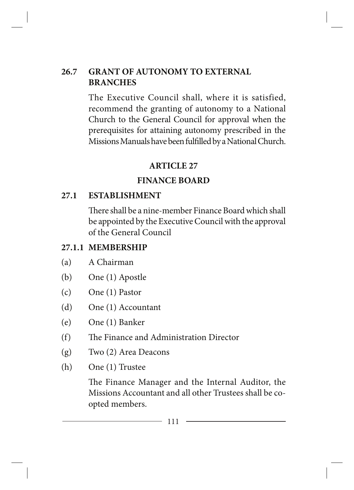### **26.7 GRANT OF AUTONOMY TO EXTERNAL BRANCHES**

The Executive Council shall, where it is satisfied, recommend the granting of autonomy to a National Church to the General Council for approval when the prerequisites for attaining autonomy prescribed in the Missions Manuals have been fulfilled by a National Church.

### **ARTICLE 27**

### **FINANCE BOARD**

### **27.1 ESTABLISHMENT**

There shall be a nine-member Finance Board which shall be appointed by the Executive Council with the approval of the General Council

### **27.1.1 MEMBERSHIP**

- (a) A Chairman
- (b) One (1) Apostle
- (c) One (1) Pastor
- (d) One (1) Accountant
- (e) One (1) Banker
- (f) The Finance and Administration Director
- (g) Two (2) Area Deacons
- (h) One (1) Trustee

The Finance Manager and the Internal Auditor, the Missions Accountant and all other Trustees shall be coopted members.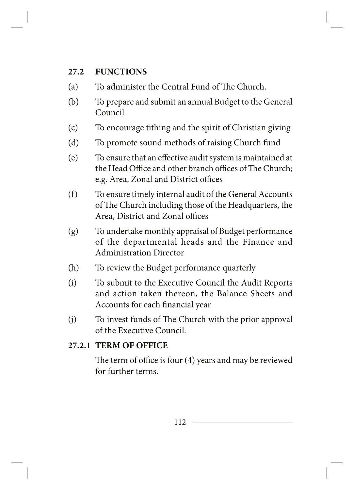### **27.2 FUNCTIONS**

- (a) To administer the Central Fund of The Church.
- (b) To prepare and submit an annual Budget to the General Council
- (c) To encourage tithing and the spirit of Christian giving
- (d) To promote sound methods of raising Church fund
- (e) To ensure that an effective audit system is maintained at the Head Office and other branch offices of The Church; e.g. Area, Zonal and District offices
- (f) To ensure timely internal audit of the General Accounts of The Church including those of the Headquarters, the Area, District and Zonal offices
- (g) To undertake monthly appraisal of Budget performance of the departmental heads and the Finance and Administration Director
- (h) To review the Budget performance quarterly
- (i) To submit to the Executive Council the Audit Reports and action taken thereon, the Balance Sheets and Accounts for each financial year
- (j) To invest funds of The Church with the prior approval of the Executive Council.

# **27.2.1 TERM OF OFFICE**

The term of office is four (4) years and may be reviewed for further terms.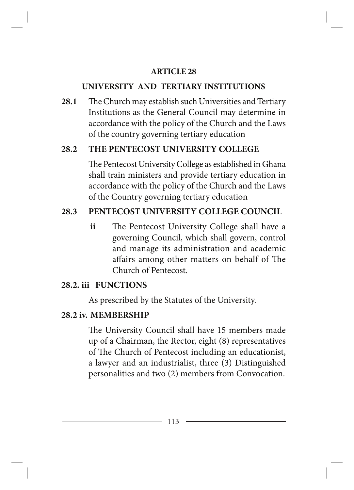#### **ARTICLE 28**

#### **UNIVERSITY AND TERTIARY INSTITUTIONS**

**28.1** The Church may establish such Universities and Tertiary Institutions as the General Council may determine in accordance with the policy of the Church and the Laws of the country governing tertiary education

### **28.2 THE PENTECOST UNIVERSITY COLLEGE**

The Pentecost University College as established in Ghana shall train ministers and provide tertiary education in accordance with the policy of the Church and the Laws of the Country governing tertiary education

### **28.3 PENTECOST UNIVERSITY COLLEGE COUNCIL**

**ii** The Pentecost University College shall have a governing Council, which shall govern, control and manage its administration and academic affairs among other matters on behalf of The Church of Pentecost.

### **28.2. iii FUNCTIONS**

As prescribed by the Statutes of the University.

### **28.2 iv. MEMBERSHIP**

The University Council shall have 15 members made up of a Chairman, the Rector, eight (8) representatives of The Church of Pentecost including an educationist, a lawyer and an industrialist, three (3) Distinguished personalities and two (2) members from Convocation.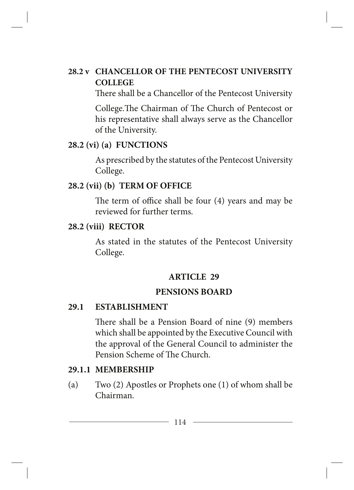### **28.2 v CHANCELLOR OF THE PENTECOST UNIVERSITY COLLEGE**

There shall be a Chancellor of the Pentecost University

College.The Chairman of The Church of Pentecost or his representative shall always serve as the Chancellor of the University.

#### **28.2 (vi) (a) FUNCTIONS**

As prescribed by the statutes of the Pentecost University College.

#### **28.2 (vii) (b) TERM OF OFFICE**

The term of office shall be four (4) years and may be reviewed for further terms.

#### **28.2 (viii) RECTOR**

As stated in the statutes of the Pentecost University College.

### **ARTICLE 29**

#### **PENSIONS BOARD**

#### **29.1 ESTABLISHMENT**

There shall be a Pension Board of nine (9) members which shall be appointed by the Executive Council with the approval of the General Council to administer the Pension Scheme of The Church.

#### **29.1.1 MEMBERSHIP**

(a) Two (2) Apostles or Prophets one (1) of whom shall be Chairman.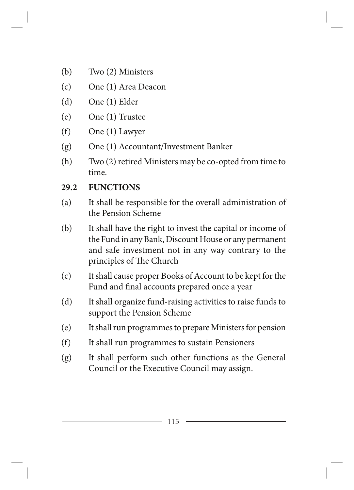- (b) Two (2) Ministers
- (c) One (1) Area Deacon
- (d) One (1) Elder
- (e) One (1) Trustee
- (f) One (1) Lawyer
- (g) One (1) Accountant/Investment Banker
- (h) Two (2) retired Ministers may be co-opted from time to time.

## **29.2 FUNCTIONS**

- (a) It shall be responsible for the overall administration of the Pension Scheme
- (b) It shall have the right to invest the capital or income of the Fund in any Bank, Discount House or any permanent and safe investment not in any way contrary to the principles of The Church
- (c) It shall cause proper Books of Account to be kept for the Fund and final accounts prepared once a year
- (d) It shall organize fund-raising activities to raise funds to support the Pension Scheme
- (e) It shall run programmes to prepare Ministers for pension
- (f) It shall run programmes to sustain Pensioners
- (g) It shall perform such other functions as the General Council or the Executive Council may assign.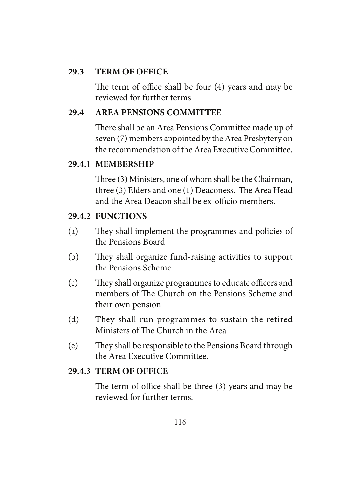### **29.3 TERM OF OFFICE**

The term of office shall be four (4) years and may be reviewed for further terms

## **29.4 AREA PENSIONS COMMITTEE**

There shall be an Area Pensions Committee made up of seven (7) members appointed by the Area Presbytery on the recommendation of the Area Executive Committee.

### **29.4.1 MEMBERSHIP**

Three (3) Ministers, one of whom shall be the Chairman, three (3) Elders and one (1) Deaconess. The Area Head and the Area Deacon shall be ex-officio members.

### **29.4.2 FUNCTIONS**

- (a) They shall implement the programmes and policies of the Pensions Board
- (b) They shall organize fund-raising activities to support the Pensions Scheme
- (c) They shall organize programmes to educate officers and members of The Church on the Pensions Scheme and their own pension
- (d) They shall run programmes to sustain the retired Ministers of The Church in the Area
- (e) They shall be responsible to the Pensions Board through the Area Executive Committee.

### **29.4.3 TERM OF OFFICE**

The term of office shall be three (3) years and may be reviewed for further terms.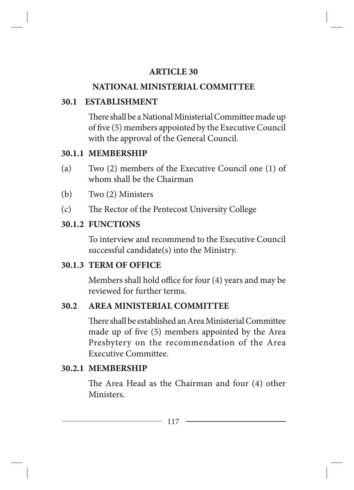#### **ARTICLE 30**

### **NATIONAL MINISTERIAL COMMITTEE**

### **30.1 ESTABLISHMENT**

There shall be a National Ministerial Committee made up of five (5) members appointed by the Executive Council with the approval of the General Council.

### **30.1.1 MEMBERSHIP**

- (a) Two (2) members of the Executive Council one (1) of whom shall be the Chairman
- (b) Two (2) Ministers
- (c) The Rector of the Pentecost University College

### **30.1.2 FUNCTIONS**

To interview and recommend to the Executive Council successful candidate(s) into the Ministry.

### **30.1.3 TERM OF OFFICE**

Members shall hold office for four (4) years and may be reviewed for further terms.

### **30.2 AREA MINISTERIAL COMMITTEE**

There shall be established an Area Ministerial Committee made up of five (5) members appointed by the Area Presbytery on the recommendation of the Area Executive Committee.

### **30.2.1 MEMBERSHIP**

The Area Head as the Chairman and four (4) other Ministers.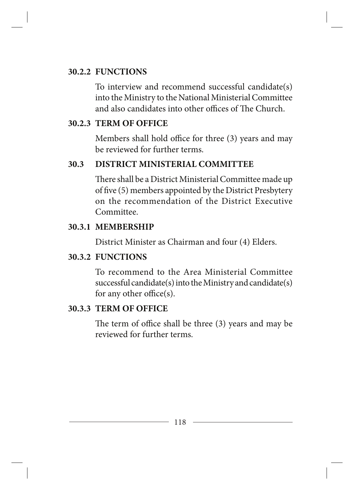#### **30.2.2 FUNCTIONS**

To interview and recommend successful candidate(s) into the Ministry to the National Ministerial Committee and also candidates into other offices of The Church.

#### **30.2.3 TERM OF OFFICE**

Members shall hold office for three (3) years and may be reviewed for further terms.

#### **30.3 DISTRICT MINISTERIAL COMMITTEE**

There shall be a District Ministerial Committee made up of five (5) members appointed by the District Presbytery on the recommendation of the District Executive Committee.

#### **30.3.1 MEMBERSHIP**

District Minister as Chairman and four (4) Elders.

#### **30.3.2 FUNCTIONS**

To recommend to the Area Ministerial Committee successful candidate(s) into the Ministry and candidate(s) for any other office(s).

#### **30.3.3 TERM OF OFFICE**

The term of office shall be three (3) years and may be reviewed for further terms.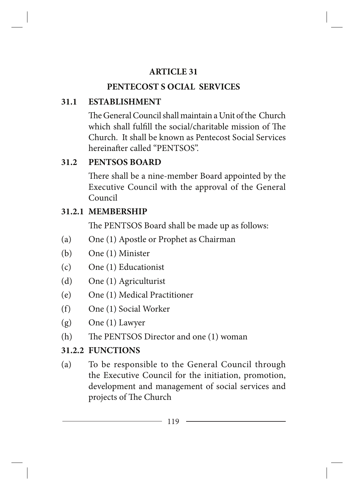## **ARTICLE 31**

# **PENTECOST S OCIAL SERVICES**

# **31.1 ESTABLISHMENT**

The General Council shall maintain a Unit of the Church which shall fulfill the social/charitable mission of The Church. It shall be known as Pentecost Social Services hereinafter called "PENTSOS".

# **31.2 PENTSOS BOARD**

There shall be a nine-member Board appointed by the Executive Council with the approval of the General Council

# **31.2.1 MEMBERSHIP**

The PENTSOS Board shall be made up as follows:

- (a) One (1) Apostle or Prophet as Chairman
- (b) One (1) Minister
- (c) One (1) Educationist
- (d) One (1) Agriculturist
- (e) One (1) Medical Practitioner
- (f) One (1) Social Worker
- (g) One (1) Lawyer
- (h) The PENTSOS Director and one (1) woman

# **31.2.2 FUNCTIONS**

(a) To be responsible to the General Council through the Executive Council for the initiation, promotion, development and management of social services and projects of The Church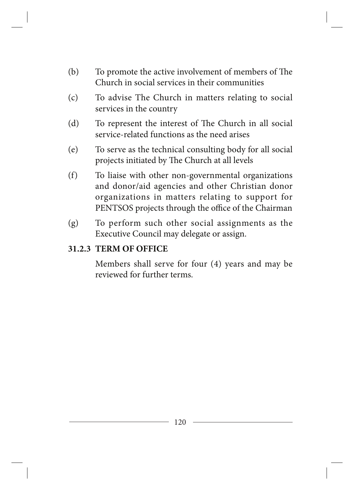- (b) To promote the active involvement of members of The Church in social services in their communities
- (c) To advise The Church in matters relating to social services in the country
- (d) To represent the interest of The Church in all social service-related functions as the need arises
- (e) To serve as the technical consulting body for all social projects initiated by The Church at all levels
- (f) To liaise with other non-governmental organizations and donor/aid agencies and other Christian donor organizations in matters relating to support for PENTSOS projects through the office of the Chairman
- (g) To perform such other social assignments as the Executive Council may delegate or assign.

#### **31.2.3 TERM OF OFFICE**

Members shall serve for four (4) years and may be reviewed for further terms.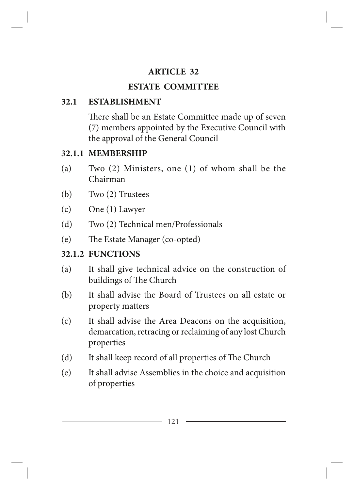## **ARTICLE 32**

# **ESTATE COMMITTEE**

# **32.1 ESTABLISHMENT**

There shall be an Estate Committee made up of seven (7) members appointed by the Executive Council with the approval of the General Council

# **32.1.1 MEMBERSHIP**

- (a) Two (2) Ministers, one (1) of whom shall be the Chairman
- (b) Two (2) Trustees
- (c) One (1) Lawyer
- (d) Two (2) Technical men/Professionals
- (e) The Estate Manager (co-opted)

# **32.1.2 FUNCTIONS**

- (a) It shall give technical advice on the construction of buildings of The Church
- (b) It shall advise the Board of Trustees on all estate or property matters
- (c) It shall advise the Area Deacons on the acquisition, demarcation, retracing or reclaiming of any lost Church properties
- (d) It shall keep record of all properties of The Church
- (e) It shall advise Assemblies in the choice and acquisition of properties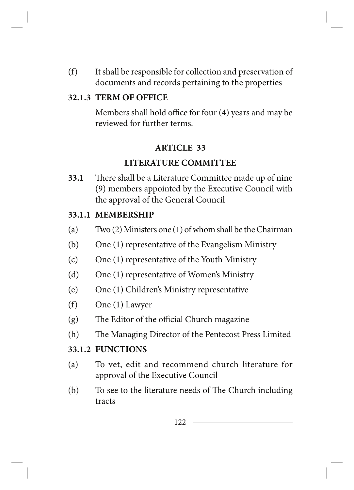(f) It shall be responsible for collection and preservation of documents and records pertaining to the properties

### **32.1.3 TERM OF OFFICE**

Members shall hold office for four (4) years and may be reviewed for further terms.

#### **ARTICLE 33**

#### **LITERATURE COMMITTEE**

**33.1** There shall be a Literature Committee made up of nine (9) members appointed by the Executive Council with the approval of the General Council

#### **33.1.1 MEMBERSHIP**

- (a) Two (2) Ministers one (1) of whom shall be the Chairman
- (b) One (1) representative of the Evangelism Ministry
- (c) One (1) representative of the Youth Ministry
- (d) One (1) representative of Women's Ministry
- (e) One (1) Children's Ministry representative
- (f) One (1) Lawyer
- (g) The Editor of the official Church magazine
- (h) The Managing Director of the Pentecost Press Limited

### **33.1.2 FUNCTIONS**

- (a) To vet, edit and recommend church literature for approval of the Executive Council
- (b) To see to the literature needs of The Church including tracts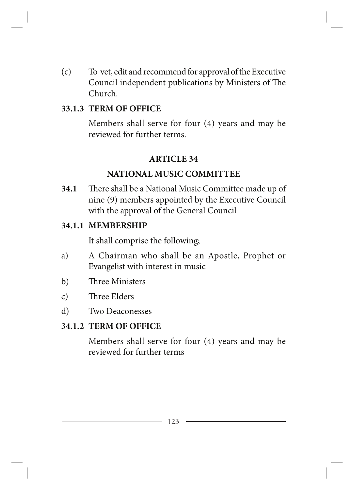(c) To vet, edit and recommend for approval of the Executive Council independent publications by Ministers of The Church.

#### **33.1.3 TERM OF OFFICE**

Members shall serve for four (4) years and may be reviewed for further terms.

#### **ARTICLE 34**

#### **NATIONAL MUSIC COMMITTEE**

**34.1** There shall be a National Music Committee made up of nine (9) members appointed by the Executive Council with the approval of the General Council

#### **34.1.1 MEMBERSHIP**

It shall comprise the following;

- a) A Chairman who shall be an Apostle, Prophet or Evangelist with interest in music
- b) Three Ministers
- c) Three Elders
- d) Two Deaconesses

#### **34.1.2 TERM OF OFFICE**

Members shall serve for four (4) years and may be reviewed for further terms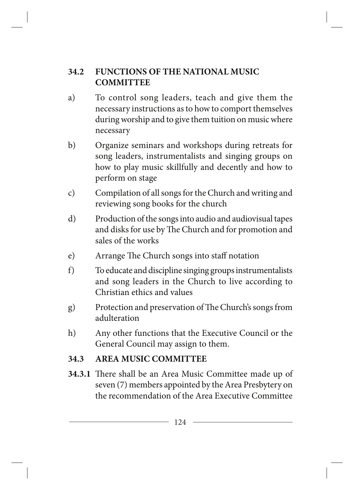### **34.2 FUNCTIONS OF THE NATIONAL MUSIC COMMITTEE**

- a) To control song leaders, teach and give them the necessary instructions as to how to comport themselves during worship and to give them tuition on music where necessary
- b) Organize seminars and workshops during retreats for song leaders, instrumentalists and singing groups on how to play music skillfully and decently and how to perform on stage
- c) Compilation of all songs for the Church and writing and reviewing song books for the church
- d) Production of the songs into audio and audiovisual tapes and disks for use by The Church and for promotion and sales of the works
- e) Arrange The Church songs into staff notation
- f) To educate and discipline singing groups instrumentalists and song leaders in the Church to live according to Christian ethics and values
- g) Protection and preservation of The Church's songs from adulteration
- h) Any other functions that the Executive Council or the General Council may assign to them.

### **34.3 AREA MUSIC COMMITTEE**

**34.3.1** There shall be an Area Music Committee made up of seven (7) members appointed by the Area Presbytery on the recommendation of the Area Executive Committee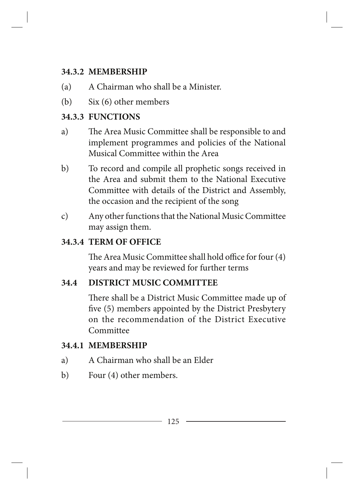### **34.3.2 MEMBERSHIP**

- (a) A Chairman who shall be a Minister.
- (b) Six (6) other members

### **34.3.3 FUNCTIONS**

- a) The Area Music Committee shall be responsible to and implement programmes and policies of the National Musical Committee within the Area
- b) To record and compile all prophetic songs received in the Area and submit them to the National Executive Committee with details of the District and Assembly, the occasion and the recipient of the song
- c) Any other functions that the National Music Committee may assign them.

### **34.3.4 TERM OF OFFICE**

The Area Music Committee shall hold office for four (4) years and may be reviewed for further terms

### **34.4 DISTRICT MUSIC COMMITTEE**

There shall be a District Music Committee made up of five (5) members appointed by the District Presbytery on the recommendation of the District Executive Committee

### **34.4.1 MEMBERSHIP**

- a) A Chairman who shall be an Elder
- b) Four (4) other members.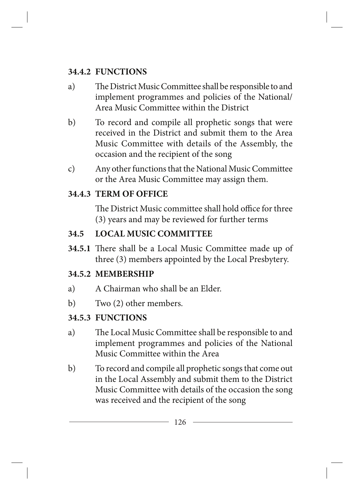## **34.4.2 FUNCTIONS**

- a) The District Music Committee shall be responsible to and implement programmes and policies of the National/ Area Music Committee within the District
- b) To record and compile all prophetic songs that were received in the District and submit them to the Area Music Committee with details of the Assembly, the occasion and the recipient of the song
- c) Any other functions that the National Music Committee or the Area Music Committee may assign them.

## **34.4.3 TERM OF OFFICE**

The District Music committee shall hold office for three (3) years and may be reviewed for further terms

# **34.5 LOCAL MUSIC COMMITTEE**

**34.5.1** There shall be a Local Music Committee made up of three (3) members appointed by the Local Presbytery.

# **34.5.2 MEMBERSHIP**

- a) A Chairman who shall be an Elder.
- b) Two (2) other members.

# **34.5.3 FUNCTIONS**

- a) The Local Music Committee shall be responsible to and implement programmes and policies of the National Music Committee within the Area
- b) To record and compile all prophetic songs that come out in the Local Assembly and submit them to the District Music Committee with details of the occasion the song was received and the recipient of the song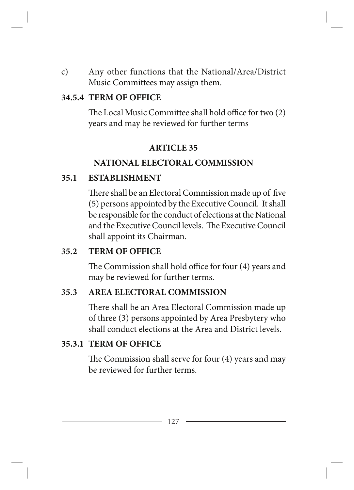c) Any other functions that the National/Area/District Music Committees may assign them.

#### **34.5.4 TERM OF OFFICE**

The Local Music Committee shall hold office for two (2) years and may be reviewed for further terms

#### **ARTICLE 35**

#### **NATIONAL ELECTORAL COMMISSION**

#### **35.1 ESTABLISHMENT**

There shall be an Electoral Commission made up of five (5) persons appointed by the Executive Council. It shall be responsible for the conduct of elections at the National and the Executive Council levels. The Executive Council shall appoint its Chairman.

### **35.2 TERM OF OFFICE**

The Commission shall hold office for four (4) years and may be reviewed for further terms.

#### **35.3 AREA ELECTORAL COMMISSION**

There shall be an Area Electoral Commission made up of three (3) persons appointed by Area Presbytery who shall conduct elections at the Area and District levels.

### **35.3.1 TERM OF OFFICE**

The Commission shall serve for four (4) years and may be reviewed for further terms.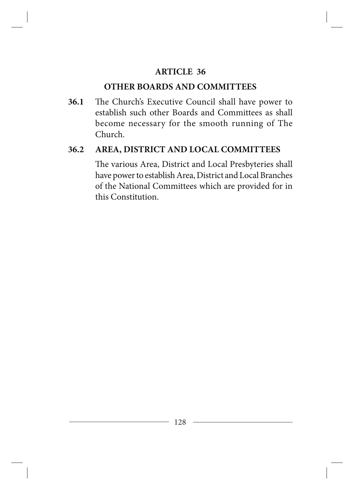#### **ARTICLE 36**

#### **OTHER BOARDS AND COMMITTEES**

**36.1** The Church's Executive Council shall have power to establish such other Boards and Committees as shall become necessary for the smooth running of The Church.

#### **36.2 AREA, DISTRICT AND LOCAL COMMITTEES**

The various Area, District and Local Presbyteries shall have power to establish Area, District and Local Branches of the National Committees which are provided for in this Constitution.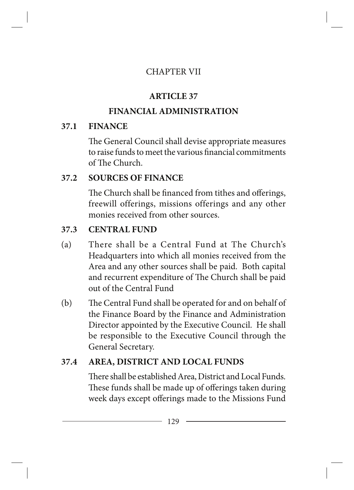### CHAPTER VII

# **ARTICLE 37**

# **FINANCIAL ADMINISTRATION**

# **37.1 FINANCE**

The General Council shall devise appropriate measures to raise funds to meet the various financial commitments of The Church.

## **37.2 SOURCES OF FINANCE**

The Church shall be financed from tithes and offerings, freewill offerings, missions offerings and any other monies received from other sources.

# **37.3 CENTRAL FUND**

- (a) There shall be a Central Fund at The Church's Headquarters into which all monies received from the Area and any other sources shall be paid. Both capital and recurrent expenditure of The Church shall be paid out of the Central Fund
- (b) The Central Fund shall be operated for and on behalf of the Finance Board by the Finance and Administration Director appointed by the Executive Council. He shall be responsible to the Executive Council through the General Secretary.

# **37.4 AREA, DISTRICT AND LOCAL FUNDS**

There shall be established Area, District and Local Funds. These funds shall be made up of offerings taken during week days except offerings made to the Missions Fund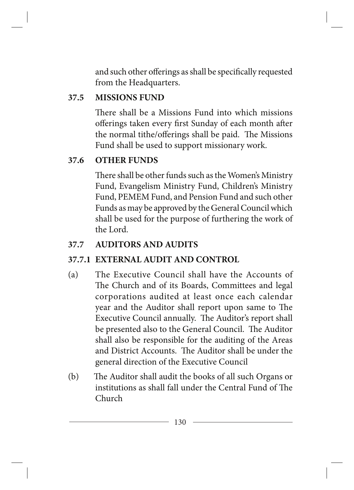and such other offerings as shall be specifically requested from the Headquarters.

### **37.5 MISSIONS FUND**

There shall be a Missions Fund into which missions offerings taken every first Sunday of each month after the normal tithe/offerings shall be paid. The Missions Fund shall be used to support missionary work.

### **37.6 OTHER FUNDS**

There shall be other funds such as the Women's Ministry Fund, Evangelism Ministry Fund, Children's Ministry Fund, PEMEM Fund, and Pension Fund and such other Funds as may be approved by the General Council which shall be used for the purpose of furthering the work of the Lord.

### **37.7 AUDITORS AND AUDITS**

### **37.7.1 EXTERNAL AUDIT AND CONTROL**

- (a) The Executive Council shall have the Accounts of The Church and of its Boards, Committees and legal corporations audited at least once each calendar year and the Auditor shall report upon same to The Executive Council annually. The Auditor's report shall be presented also to the General Council. The Auditor shall also be responsible for the auditing of the Areas and District Accounts. The Auditor shall be under the general direction of the Executive Council
- (b) The Auditor shall audit the books of all such Organs or institutions as shall fall under the Central Fund of The Church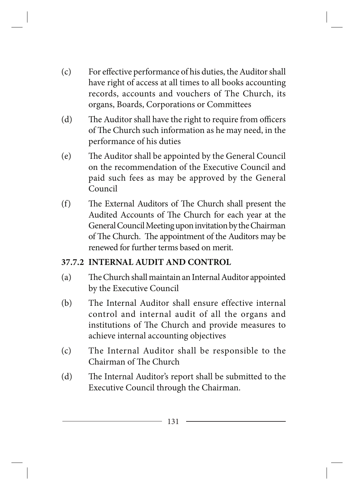- (c) For effective performance of his duties, the Auditor shall have right of access at all times to all books accounting records, accounts and vouchers of The Church, its organs, Boards, Corporations or Committees
- (d) The Auditor shall have the right to require from officers of The Church such information as he may need, in the performance of his duties
- (e) The Auditor shall be appointed by the General Council on the recommendation of the Executive Council and paid such fees as may be approved by the General Council
- (f) The External Auditors of The Church shall present the Audited Accounts of The Church for each year at the General Council Meeting upon invitation by the Chairman of The Church. The appointment of the Auditors may be renewed for further terms based on merit.

### **37.7.2 INTERNAL AUDIT AND CONTROL**

- (a) The Church shall maintain an Internal Auditor appointed by the Executive Council
- (b) The Internal Auditor shall ensure effective internal control and internal audit of all the organs and institutions of The Church and provide measures to achieve internal accounting objectives
- (c) The Internal Auditor shall be responsible to the Chairman of The Church
- (d) The Internal Auditor's report shall be submitted to the Executive Council through the Chairman.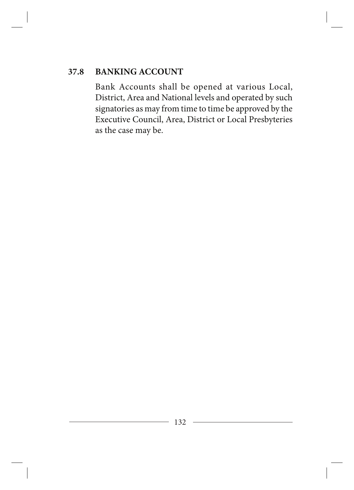## **37.8 BANKING ACCOUNT**

Bank Accounts shall be opened at various Local, District, Area and National levels and operated by such signatories as may from time to time be approved by the Executive Council, Area, District or Local Presbyteries as the case may be.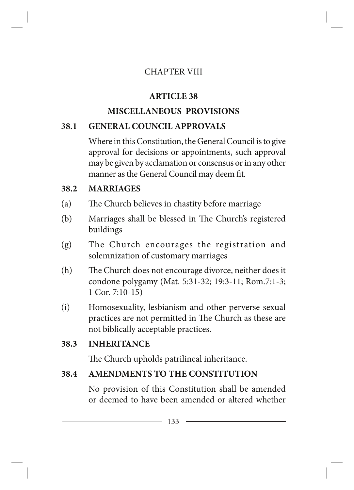### CHAPTER VIII

# **ARTICLE 38**

# **MISCELLANEOUS PROVISIONS**

## **38.1 GENERAL COUNCIL APPROVALS**

Where in this Constitution, the General Council is to give approval for decisions or appointments, such approval may be given by acclamation or consensus or in any other manner as the General Council may deem fit.

### **38.2 MARRIAGES**

- (a) The Church believes in chastity before marriage
- (b) Marriages shall be blessed in The Church's registered buildings
- (g) The Church encourages the registration and solemnization of customary marriages
- (h) The Church does not encourage divorce, neither does it condone polygamy (Mat. 5:31-32; 19:3-11; Rom.7:1-3; 1 Cor. 7:10-15)
- (i) Homosexuality, lesbianism and other perverse sexual practices are not permitted in The Church as these are not biblically acceptable practices.

### **38.3 INHERITANCE**

The Church upholds patrilineal inheritance.

### **38.4 AMENDMENTS TO THE CONSTITUTION**

No provision of this Constitution shall be amended or deemed to have been amended or altered whether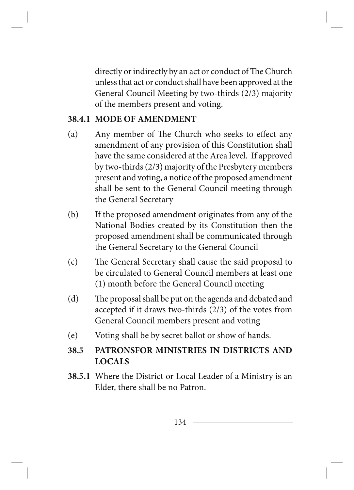directly or indirectly by an act or conduct of The Church unless that act or conduct shall have been approved at the General Council Meeting by two-thirds (2/3) majority of the members present and voting.

#### **38.4.1 MODE OF AMENDMENT**

- (a) Any member of The Church who seeks to effect any amendment of any provision of this Constitution shall have the same considered at the Area level. If approved by two-thirds (2/3) majority of the Presbytery members present and voting, a notice of the proposed amendment shall be sent to the General Council meeting through the General Secretary
- (b) If the proposed amendment originates from any of the National Bodies created by its Constitution then the proposed amendment shall be communicated through the General Secretary to the General Council
- (c) The General Secretary shall cause the said proposal to be circulated to General Council members at least one (1) month before the General Council meeting
- (d) The proposal shall be put on the agenda and debated and accepted if it draws two-thirds (2/3) of the votes from General Council members present and voting
- (e) Voting shall be by secret ballot or show of hands.

### **38.5 PATRONSFOR MINISTRIES IN DISTRICTS AND LOCALS**

**38.5.1** Where the District or Local Leader of a Ministry is an Elder, there shall be no Patron.